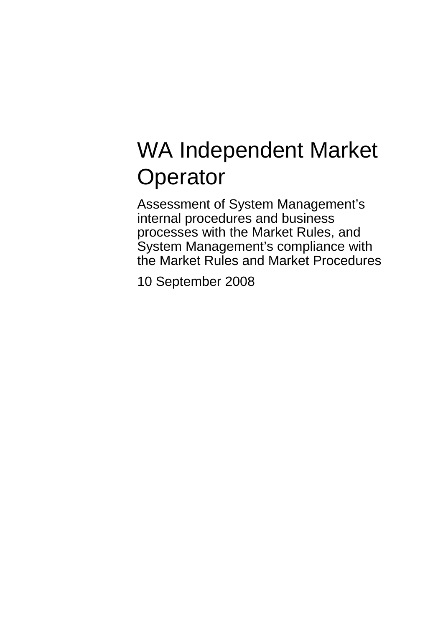# WA Independent Market **Operator**

Assessment of System Management's internal procedures and business processes with the Market Rules, and System Management's compliance with the Market Rules and Market Procedures

10 September 2008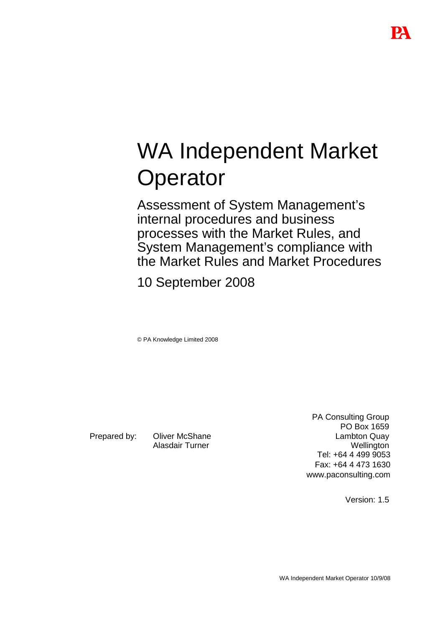# WA Independent Market **Operator**

Assessment of System Management's internal procedures and business processes with the Market Rules, and System Management's compliance with the Market Rules and Market Procedures

10 September 2008

© PA Knowledge Limited 2008

Prepared by: Oliver McShane Alasdair Turner

PA Consulting Group PO Box 1659 Lambton Quay **Wellington** Tel: +64 4 499 9053 Fax: +64 4 473 1630 www.paconsulting.com

Version: 1.5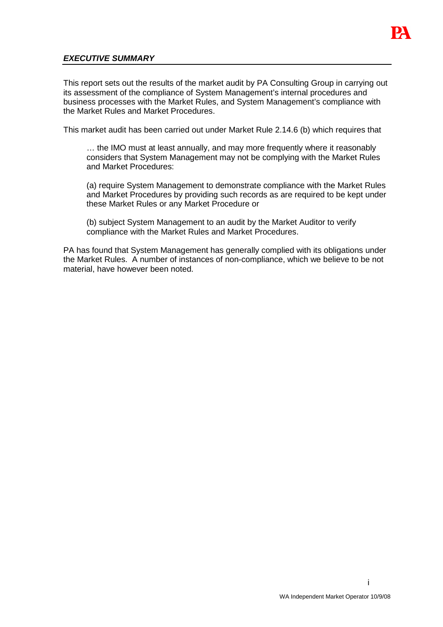

# **EXECUTIVE SUMMARY**

This report sets out the results of the market audit by PA Consulting Group in carrying out its assessment of the compliance of System Management's internal procedures and business processes with the Market Rules, and System Management's compliance with the Market Rules and Market Procedures.

This market audit has been carried out under Market Rule 2.14.6 (b) which requires that

… the IMO must at least annually, and may more frequently where it reasonably considers that System Management may not be complying with the Market Rules and Market Procedures:

(a) require System Management to demonstrate compliance with the Market Rules and Market Procedures by providing such records as are required to be kept under these Market Rules or any Market Procedure or

(b) subject System Management to an audit by the Market Auditor to verify compliance with the Market Rules and Market Procedures.

PA has found that System Management has generally complied with its obligations under the Market Rules. A number of instances of non-compliance, which we believe to be not material, have however been noted.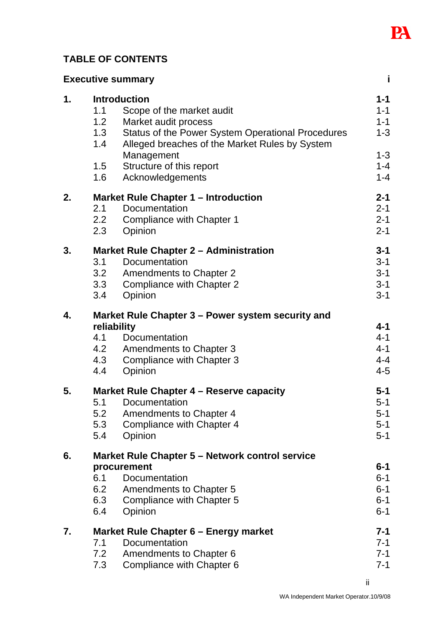

# **TABLE OF CONTENTS**

| j<br><b>Executive summary</b> |                                                                                                                                                                                                                                                                                         |                                                                           |  |
|-------------------------------|-----------------------------------------------------------------------------------------------------------------------------------------------------------------------------------------------------------------------------------------------------------------------------------------|---------------------------------------------------------------------------|--|
| $\mathbf 1$ .                 | <b>Introduction</b><br>1.1<br>Scope of the market audit<br>1.2<br>Market audit process<br>1.3<br>Status of the Power System Operational Procedures<br>1.4<br>Alleged breaches of the Market Rules by System<br>Management<br>Structure of this report<br>1.5<br>1.6<br>Acknowledgements | $1 - 1$<br>$1 - 1$<br>$1 - 1$<br>$1 - 3$<br>$1 - 3$<br>$1 - 4$<br>$1 - 4$ |  |
| 2.                            | <b>Market Rule Chapter 1 - Introduction</b><br><b>Documentation</b><br>2.1<br>2.2<br>Compliance with Chapter 1<br>2.3<br>Opinion                                                                                                                                                        | $2 - 1$<br>$2 - 1$<br>$2 - 1$<br>$2 - 1$                                  |  |
| 3.                            | <b>Market Rule Chapter 2 - Administration</b><br>Documentation<br>3.1<br>3.2<br><b>Amendments to Chapter 2</b><br>Compliance with Chapter 2<br>3.3<br>Opinion<br>3.4                                                                                                                    | $3 - 1$<br>$3 - 1$<br>$3 - 1$<br>$3 - 1$<br>$3 - 1$                       |  |
| 4.                            | Market Rule Chapter 3 – Power system security and<br>reliability<br>4.1<br>Documentation<br>4.2<br><b>Amendments to Chapter 3</b><br>4.3<br>Compliance with Chapter 3<br>Opinion<br>4.4                                                                                                 | $4 - 1$<br>$4 - 1$<br>$4 - 1$<br>$4 - 4$<br>$4 - 5$                       |  |
| 5.                            | Market Rule Chapter 4 – Reserve capacity<br>Documentation<br>5.1<br>5.2<br>Amendments to Chapter 4<br>5.3<br>Compliance with Chapter 4<br>5.4<br>Opinion                                                                                                                                | $5 - 1$<br>$5-1$<br>$5 - 1$<br>$5-1$<br>$5-1$                             |  |
| 6.                            | Market Rule Chapter 5 - Network control service<br>procurement<br>6.1<br>Documentation<br>6.2<br><b>Amendments to Chapter 5</b><br>6.3<br>Compliance with Chapter 5<br>6.4<br>Opinion                                                                                                   | $6 - 1$<br>$6 - 1$<br>$6 - 1$<br>$6 - 1$<br>$6 - 1$                       |  |
| 7.                            | Market Rule Chapter 6 - Energy market<br>Documentation<br>7.1<br>7.2<br>Amendments to Chapter 6<br>7.3<br>Compliance with Chapter 6                                                                                                                                                     | 7-1<br>$7 - 1$<br>$7 - 1$<br>$7 - 1$                                      |  |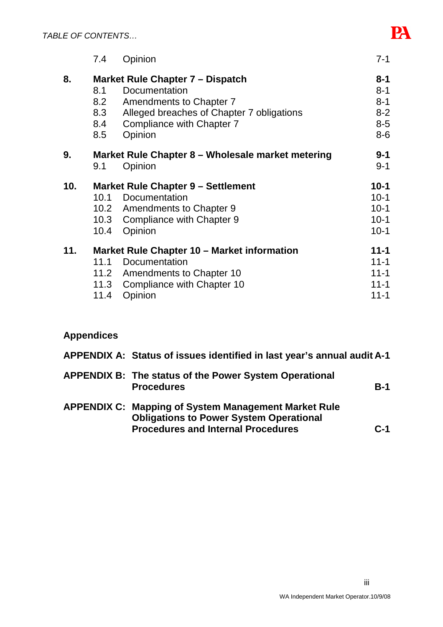|     | 7.4  | Opinion                                           | $7 - 1$  |
|-----|------|---------------------------------------------------|----------|
| 8.  |      | Market Rule Chapter 7 – Dispatch                  | $8 - 1$  |
|     | 8.1  | Documentation                                     | $8 - 1$  |
|     | 8.2  | Amendments to Chapter 7                           | $8 - 1$  |
|     | 8.3  | Alleged breaches of Chapter 7 obligations         | $8 - 2$  |
|     | 8.4  | Compliance with Chapter 7                         | $8 - 5$  |
|     | 8.5  | Opinion                                           | $8-6$    |
| 9.  |      | Market Rule Chapter 8 - Wholesale market metering | $9 - 1$  |
|     | 9.1  | Opinion                                           | $9 - 1$  |
| 10. |      | <b>Market Rule Chapter 9 - Settlement</b>         | $10 - 1$ |
|     |      | 10.1 Documentation                                | $10-1$   |
|     |      | 10.2 Amendments to Chapter 9                      | $10 - 1$ |
|     |      | 10.3 Compliance with Chapter 9                    | $10-1$   |
|     | 10.4 | Opinion                                           | $10-1$   |
| 11. |      | Market Rule Chapter 10 – Market information       | $11 - 1$ |
|     | 11.1 | Documentation                                     | $11 - 1$ |
|     |      | 11.2 Amendments to Chapter 10                     | $11 - 1$ |
|     |      | 11.3 Compliance with Chapter 10                   | $11 - 1$ |
|     | 11.4 | Opinion                                           | $11 - 1$ |
|     |      |                                                   |          |

# **Appendices**

| APPENDIX A: Status of issues identified in last year's annual audit A-1                                                                                    |       |
|------------------------------------------------------------------------------------------------------------------------------------------------------------|-------|
| <b>APPENDIX B: The status of the Power System Operational</b><br><b>Procedures</b>                                                                         | $B-1$ |
| <b>APPENDIX C: Mapping of System Management Market Rule</b><br><b>Obligations to Power System Operational</b><br><b>Procedures and Internal Procedures</b> | $C-1$ |

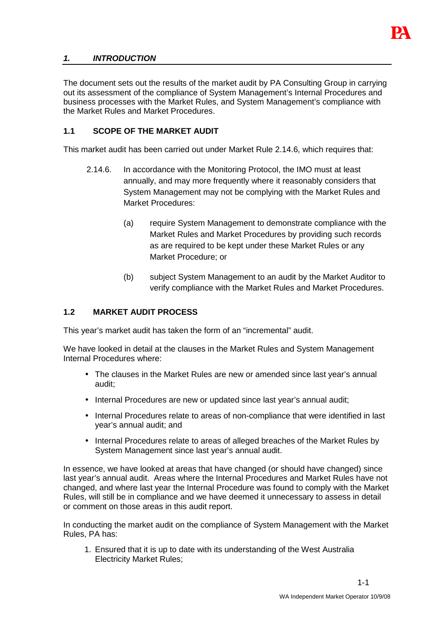

# **1. INTRODUCTION**

The document sets out the results of the market audit by PA Consulting Group in carrying out its assessment of the compliance of System Management's Internal Procedures and business processes with the Market Rules, and System Management's compliance with the Market Rules and Market Procedures.

#### **1.1 SCOPE OF THE MARKET AUDIT**

This market audit has been carried out under Market Rule 2.14.6, which requires that:

- 2.14.6. In accordance with the Monitoring Protocol, the IMO must at least annually, and may more frequently where it reasonably considers that System Management may not be complying with the Market Rules and Market Procedures:
	- (a) require System Management to demonstrate compliance with the Market Rules and Market Procedures by providing such records as are required to be kept under these Market Rules or any Market Procedure; or
	- (b) subject System Management to an audit by the Market Auditor to verify compliance with the Market Rules and Market Procedures.

#### **1.2 MARKET AUDIT PROCESS**

This year's market audit has taken the form of an "incremental" audit.

We have looked in detail at the clauses in the Market Rules and System Management Internal Procedures where:

- The clauses in the Market Rules are new or amended since last year's annual audit;
- Internal Procedures are new or updated since last year's annual audit;
- Internal Procedures relate to areas of non-compliance that were identified in last year's annual audit; and
- Internal Procedures relate to areas of alleged breaches of the Market Rules by System Management since last year's annual audit.

In essence, we have looked at areas that have changed (or should have changed) since last year's annual audit. Areas where the Internal Procedures and Market Rules have not changed, and where last year the Internal Procedure was found to comply with the Market Rules, will still be in compliance and we have deemed it unnecessary to assess in detail or comment on those areas in this audit report.

In conducting the market audit on the compliance of System Management with the Market Rules, PA has:

1. Ensured that it is up to date with its understanding of the West Australia Electricity Market Rules;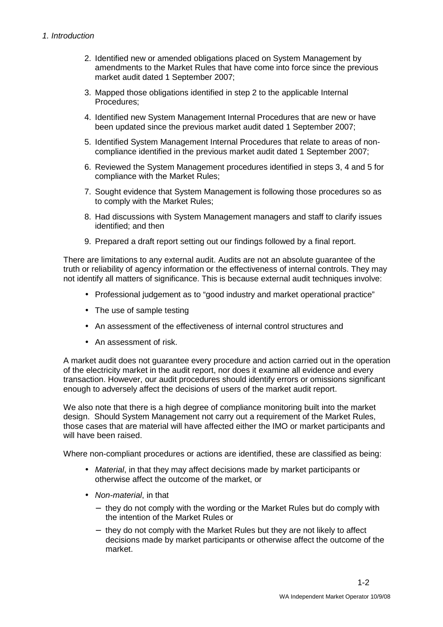- 2. Identified new or amended obligations placed on System Management by amendments to the Market Rules that have come into force since the previous market audit dated 1 September 2007;
- 3. Mapped those obligations identified in step 2 to the applicable Internal Procedures;
- 4. Identified new System Management Internal Procedures that are new or have been updated since the previous market audit dated 1 September 2007;
- 5. Identified System Management Internal Procedures that relate to areas of noncompliance identified in the previous market audit dated 1 September 2007;
- 6. Reviewed the System Management procedures identified in steps 3, 4 and 5 for compliance with the Market Rules;
- 7. Sought evidence that System Management is following those procedures so as to comply with the Market Rules;
- 8. Had discussions with System Management managers and staff to clarify issues identified; and then
- 9. Prepared a draft report setting out our findings followed by a final report.

There are limitations to any external audit. Audits are not an absolute guarantee of the truth or reliability of agency information or the effectiveness of internal controls. They may not identify all matters of significance. This is because external audit techniques involve:

- Professional judgement as to "good industry and market operational practice"
- The use of sample testing
- An assessment of the effectiveness of internal control structures and
- An assessment of risk.

A market audit does not guarantee every procedure and action carried out in the operation of the electricity market in the audit report, nor does it examine all evidence and every transaction. However, our audit procedures should identify errors or omissions significant enough to adversely affect the decisions of users of the market audit report.

We also note that there is a high degree of compliance monitoring built into the market design. Should System Management not carry out a requirement of the Market Rules, those cases that are material will have affected either the IMO or market participants and will have been raised.

Where non-compliant procedures or actions are identified, these are classified as being:

- Material, in that they may affect decisions made by market participants or otherwise affect the outcome of the market, or
- Non-material, in that
	- − they do not comply with the wording or the Market Rules but do comply with the intention of the Market Rules or
	- − they do not comply with the Market Rules but they are not likely to affect decisions made by market participants or otherwise affect the outcome of the market.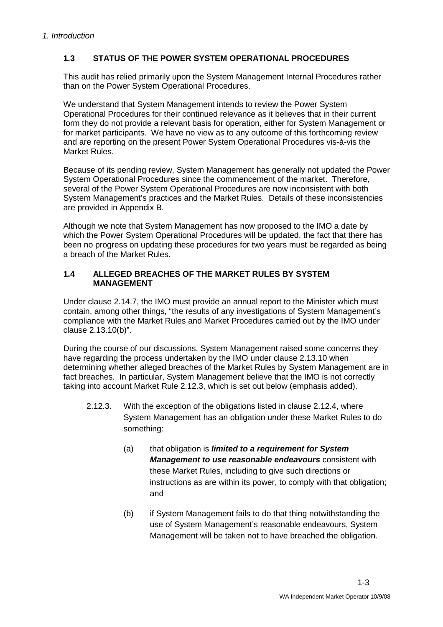# **1.3 STATUS OF THE POWER SYSTEM OPERATIONAL PROCEDURES**

This audit has relied primarily upon the System Management Internal Procedures rather than on the Power System Operational Procedures.

We understand that System Management intends to review the Power System Operational Procedures for their continued relevance as it believes that in their current form they do not provide a relevant basis for operation, either for System Management or for market participants. We have no view as to any outcome of this forthcoming review and are reporting on the present Power System Operational Procedures vis-à-vis the Market Rules.

Because of its pending review, System Management has generally not updated the Power System Operational Procedures since the commencement of the market. Therefore, several of the Power System Operational Procedures are now inconsistent with both System Management's practices and the Market Rules. Details of these inconsistencies are provided in Appendix B.

Although we note that System Management has now proposed to the IMO a date by which the Power System Operational Procedures will be updated, the fact that there has been no progress on updating these procedures for two years must be regarded as being a breach of the Market Rules.

## **1.4 ALLEGED BREACHES OF THE MARKET RULES BY SYSTEM MANAGEMENT**

Under clause 2.14.7, the IMO must provide an annual report to the Minister which must contain, among other things, "the results of any investigations of System Management's compliance with the Market Rules and Market Procedures carried out by the IMO under clause 2.13.10(b)".

During the course of our discussions, System Management raised some concerns they have regarding the process undertaken by the IMO under clause 2.13.10 when determining whether alleged breaches of the Market Rules by System Management are in fact breaches. In particular, System Management believe that the IMO is not correctly taking into account Market Rule 2.12.3, which is set out below (emphasis added).

- 2.12.3. With the exception of the obligations listed in clause 2.12.4, where System Management has an obligation under these Market Rules to do something:
	- (a) that obligation is **limited to a requirement for System Management to use reasonable endeavours** consistent with these Market Rules, including to give such directions or instructions as are within its power, to comply with that obligation; and
	- (b) if System Management fails to do that thing notwithstanding the use of System Management's reasonable endeavours, System Management will be taken not to have breached the obligation.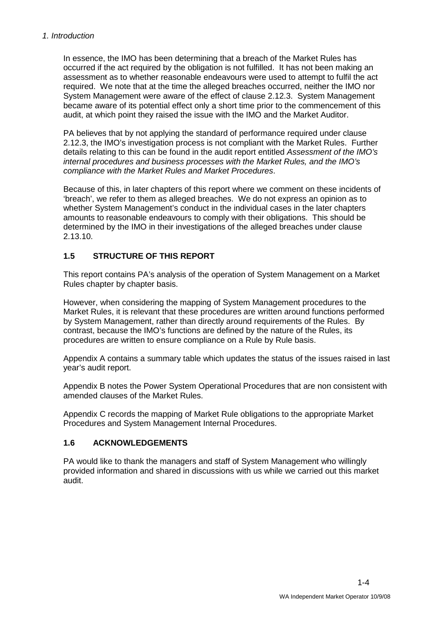In essence, the IMO has been determining that a breach of the Market Rules has occurred if the act required by the obligation is not fulfilled. It has not been making an assessment as to whether reasonable endeavours were used to attempt to fulfil the act required. We note that at the time the alleged breaches occurred, neither the IMO nor System Management were aware of the effect of clause 2.12.3. System Management became aware of its potential effect only a short time prior to the commencement of this audit, at which point they raised the issue with the IMO and the Market Auditor.

PA believes that by not applying the standard of performance required under clause 2.12.3, the IMO's investigation process is not compliant with the Market Rules. Further details relating to this can be found in the audit report entitled Assessment of the IMO's internal procedures and business processes with the Market Rules, and the IMO's compliance with the Market Rules and Market Procedures.

Because of this, in later chapters of this report where we comment on these incidents of 'breach', we refer to them as alleged breaches. We do not express an opinion as to whether System Management's conduct in the individual cases in the later chapters amounts to reasonable endeavours to comply with their obligations. This should be determined by the IMO in their investigations of the alleged breaches under clause 2.13.10.

# **1.5 STRUCTURE OF THIS REPORT**

This report contains PA's analysis of the operation of System Management on a Market Rules chapter by chapter basis.

However, when considering the mapping of System Management procedures to the Market Rules, it is relevant that these procedures are written around functions performed by System Management, rather than directly around requirements of the Rules. By contrast, because the IMO's functions are defined by the nature of the Rules, its procedures are written to ensure compliance on a Rule by Rule basis.

Appendix A contains a summary table which updates the status of the issues raised in last year's audit report.

Appendix B notes the Power System Operational Procedures that are non consistent with amended clauses of the Market Rules.

Appendix C records the mapping of Market Rule obligations to the appropriate Market Procedures and System Management Internal Procedures.

# **1.6 ACKNOWLEDGEMENTS**

PA would like to thank the managers and staff of System Management who willingly provided information and shared in discussions with us while we carried out this market audit.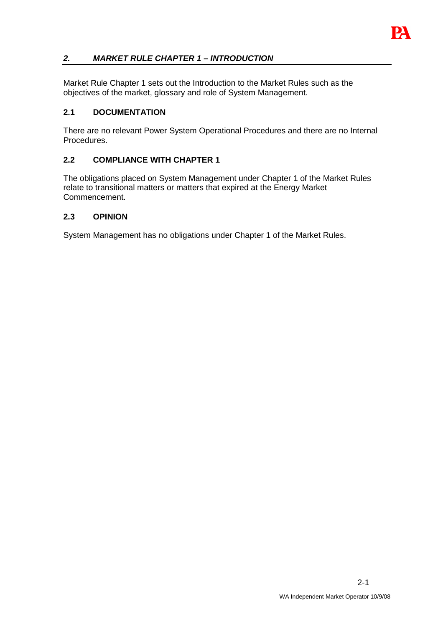

# **2. MARKET RULE CHAPTER 1 – INTRODUCTION**

Market Rule Chapter 1 sets out the Introduction to the Market Rules such as the objectives of the market, glossary and role of System Management.

# **2.1 DOCUMENTATION**

There are no relevant Power System Operational Procedures and there are no Internal Procedures.

#### **2.2 COMPLIANCE WITH CHAPTER 1**

The obligations placed on System Management under Chapter 1 of the Market Rules relate to transitional matters or matters that expired at the Energy Market Commencement.

#### **2.3 OPINION**

System Management has no obligations under Chapter 1 of the Market Rules.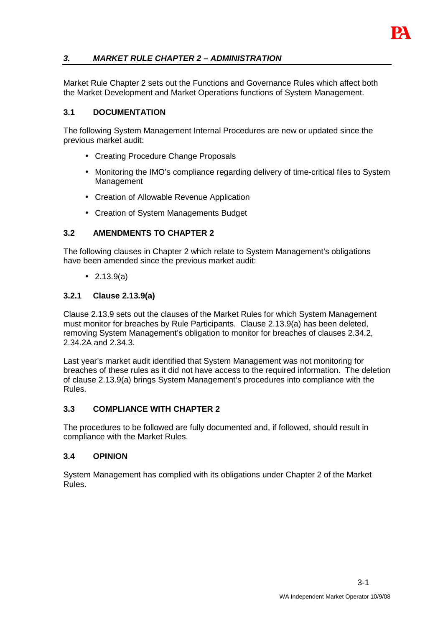

Market Rule Chapter 2 sets out the Functions and Governance Rules which affect both the Market Development and Market Operations functions of System Management.

# **3.1 DOCUMENTATION**

The following System Management Internal Procedures are new or updated since the previous market audit:

- Creating Procedure Change Proposals
- Monitoring the IMO's compliance regarding delivery of time-critical files to System Management
- Creation of Allowable Revenue Application
- Creation of System Managements Budget

# **3.2 AMENDMENTS TO CHAPTER 2**

The following clauses in Chapter 2 which relate to System Management's obligations have been amended since the previous market audit:

• 2.13.9(a)

# **3.2.1 Clause 2.13.9(a)**

Clause 2.13.9 sets out the clauses of the Market Rules for which System Management must monitor for breaches by Rule Participants. Clause 2.13.9(a) has been deleted, removing System Management's obligation to monitor for breaches of clauses 2.34.2, 2.34.2A and 2.34.3.

Last year's market audit identified that System Management was not monitoring for breaches of these rules as it did not have access to the required information. The deletion of clause 2.13.9(a) brings System Management's procedures into compliance with the Rules.

#### **3.3 COMPLIANCE WITH CHAPTER 2**

The procedures to be followed are fully documented and, if followed, should result in compliance with the Market Rules.

#### **3.4 OPINION**

System Management has complied with its obligations under Chapter 2 of the Market Rules.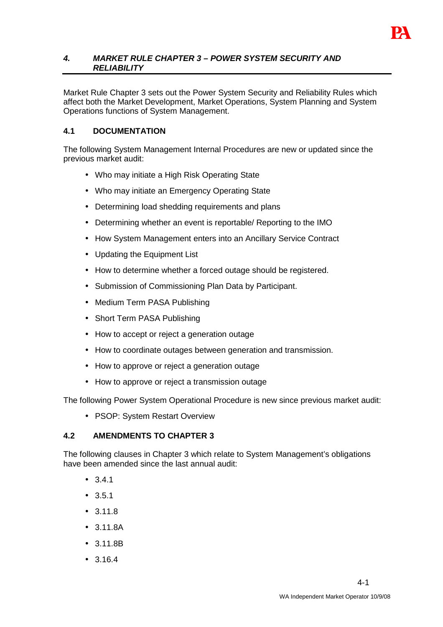

#### **4. MARKET RULE CHAPTER 3 – POWER SYSTEM SECURITY AND RELIABILITY**

Market Rule Chapter 3 sets out the Power System Security and Reliability Rules which affect both the Market Development, Market Operations, System Planning and System Operations functions of System Management.

# **4.1 DOCUMENTATION**

The following System Management Internal Procedures are new or updated since the previous market audit:

- Who may initiate a High Risk Operating State
- Who may initiate an Emergency Operating State
- Determining load shedding requirements and plans
- Determining whether an event is reportable/ Reporting to the IMO
- How System Management enters into an Ancillary Service Contract
- Updating the Equipment List
- How to determine whether a forced outage should be registered.
- Submission of Commissioning Plan Data by Participant.
- Medium Term PASA Publishing
- Short Term PASA Publishing
- How to accept or reject a generation outage
- How to coordinate outages between generation and transmission.
- How to approve or reject a generation outage
- How to approve or reject a transmission outage

The following Power System Operational Procedure is new since previous market audit:

• PSOP: System Restart Overview

# **4.2 AMENDMENTS TO CHAPTER 3**

The following clauses in Chapter 3 which relate to System Management's obligations have been amended since the last annual audit:

- $341$
- 3.5.1
- $3.11.8$
- 3.11.8A
- 3.11.8B
- 3.16.4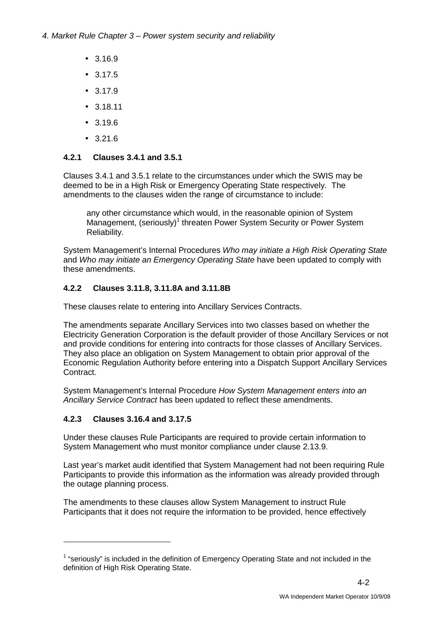- 3.16.9
- 3.17.5
- 3.17.9
- 3.18.11
- 3.19.6
- $3.216$

# **4.2.1 Clauses 3.4.1 and 3.5.1**

Clauses 3.4.1 and 3.5.1 relate to the circumstances under which the SWIS may be deemed to be in a High Risk or Emergency Operating State respectively. The amendments to the clauses widen the range of circumstance to include:

any other circumstance which would, in the reasonable opinion of System Management, (seriously)<sup>1</sup> threaten Power System Security or Power System Reliability.

System Management's Internal Procedures Who may initiate a High Risk Operating State and Who may initiate an Emergency Operating State have been updated to comply with these amendments.

# **4.2.2 Clauses 3.11.8, 3.11.8A and 3.11.8B**

These clauses relate to entering into Ancillary Services Contracts.

The amendments separate Ancillary Services into two classes based on whether the Electricity Generation Corporation is the default provider of those Ancillary Services or not and provide conditions for entering into contracts for those classes of Ancillary Services. They also place an obligation on System Management to obtain prior approval of the Economic Regulation Authority before entering into a Dispatch Support Ancillary Services Contract.

System Management's Internal Procedure How System Management enters into an Ancillary Service Contract has been updated to reflect these amendments.

# **4.2.3 Clauses 3.16.4 and 3.17.5**

 $\overline{a}$ 

Under these clauses Rule Participants are required to provide certain information to System Management who must monitor compliance under clause 2.13.9.

Last year's market audit identified that System Management had not been requiring Rule Participants to provide this information as the information was already provided through the outage planning process.

The amendments to these clauses allow System Management to instruct Rule Participants that it does not require the information to be provided, hence effectively

 $1$  "seriously" is included in the definition of Emergency Operating State and not included in the definition of High Risk Operating State.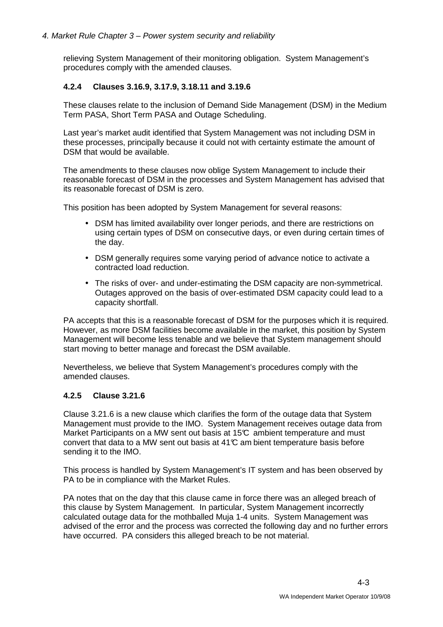relieving System Management of their monitoring obligation. System Management's procedures comply with the amended clauses.

#### **4.2.4 Clauses 3.16.9, 3.17.9, 3.18.11 and 3.19.6**

These clauses relate to the inclusion of Demand Side Management (DSM) in the Medium Term PASA, Short Term PASA and Outage Scheduling.

Last year's market audit identified that System Management was not including DSM in these processes, principally because it could not with certainty estimate the amount of DSM that would be available.

The amendments to these clauses now oblige System Management to include their reasonable forecast of DSM in the processes and System Management has advised that its reasonable forecast of DSM is zero.

This position has been adopted by System Management for several reasons:

- DSM has limited availability over longer periods, and there are restrictions on using certain types of DSM on consecutive days, or even during certain times of the day.
- DSM generally requires some varying period of advance notice to activate a contracted load reduction.
- The risks of over- and under-estimating the DSM capacity are non-symmetrical. Outages approved on the basis of over-estimated DSM capacity could lead to a capacity shortfall.

PA accepts that this is a reasonable forecast of DSM for the purposes which it is required. However, as more DSM facilities become available in the market, this position by System Management will become less tenable and we believe that System management should start moving to better manage and forecast the DSM available.

Nevertheless, we believe that System Management's procedures comply with the amended clauses.

#### **4.2.5 Clause 3.21.6**

Clause 3.21.6 is a new clause which clarifies the form of the outage data that System Management must provide to the IMO. System Management receives outage data from Market Participants on a MW sent out basis at 15 $\mathbb C$  ambient temperature and must convert that data to a MW sent out basis at  $41<sup>o</sup>$  am bient temperature basis before sending it to the IMO.

This process is handled by System Management's IT system and has been observed by PA to be in compliance with the Market Rules.

PA notes that on the day that this clause came in force there was an alleged breach of this clause by System Management. In particular, System Management incorrectly calculated outage data for the mothballed Muja 1-4 units. System Management was advised of the error and the process was corrected the following day and no further errors have occurred. PA considers this alleged breach to be not material.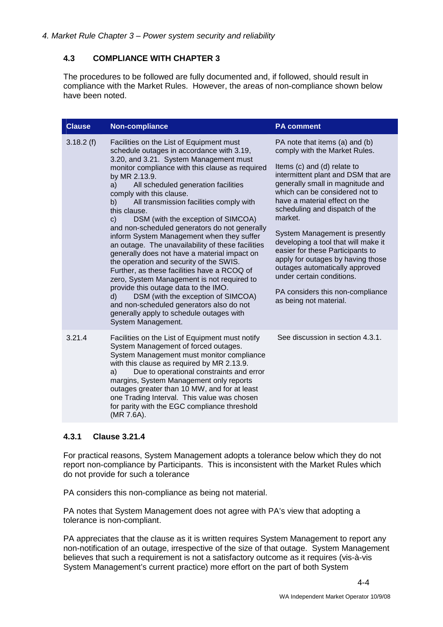# **4.3 COMPLIANCE WITH CHAPTER 3**

The procedures to be followed are fully documented and, if followed, should result in compliance with the Market Rules. However, the areas of non-compliance shown below have been noted.

| <b>Clause</b> | Non-compliance                                                                                                                                                                                                                                                                                                                                                                                                                                                                                                                                                                                                                                                                                                                                                                                                                                                                                                                                   | <b>PA comment</b>                                                                                                                                                                                                                                                                                                                                                                                                                                                                                                                                                        |
|---------------|--------------------------------------------------------------------------------------------------------------------------------------------------------------------------------------------------------------------------------------------------------------------------------------------------------------------------------------------------------------------------------------------------------------------------------------------------------------------------------------------------------------------------------------------------------------------------------------------------------------------------------------------------------------------------------------------------------------------------------------------------------------------------------------------------------------------------------------------------------------------------------------------------------------------------------------------------|--------------------------------------------------------------------------------------------------------------------------------------------------------------------------------------------------------------------------------------------------------------------------------------------------------------------------------------------------------------------------------------------------------------------------------------------------------------------------------------------------------------------------------------------------------------------------|
| 3.18.2(f)     | Facilities on the List of Equipment must<br>schedule outages in accordance with 3.19,<br>3.20, and 3.21. System Management must<br>monitor compliance with this clause as required<br>by MR 2.13.9.<br>All scheduled generation facilities<br>a)<br>comply with this clause.<br>All transmission facilities comply with<br>b)<br>this clause.<br>DSM (with the exception of SIMCOA)<br>$\mathsf{C}$<br>and non-scheduled generators do not generally<br>inform System Management when they suffer<br>an outage. The unavailability of these facilities<br>generally does not have a material impact on<br>the operation and security of the SWIS.<br>Further, as these facilities have a RCOQ of<br>zero, System Management is not required to<br>provide this outage data to the IMO.<br>DSM (with the exception of SIMCOA)<br>d)<br>and non-scheduled generators also do not<br>generally apply to schedule outages with<br>System Management. | PA note that items (a) and (b)<br>comply with the Market Rules.<br>Items (c) and (d) relate to<br>intermittent plant and DSM that are<br>generally small in magnitude and<br>which can be considered not to<br>have a material effect on the<br>scheduling and dispatch of the<br>market.<br>System Management is presently<br>developing a tool that will make it<br>easier for these Participants to<br>apply for outages by having those<br>outages automatically approved<br>under certain conditions.<br>PA considers this non-compliance<br>as being not material. |
| 3.21.4        | Facilities on the List of Equipment must notify<br>System Management of forced outages.<br>System Management must monitor compliance<br>with this clause as required by MR 2.13.9.<br>Due to operational constraints and error<br>a)<br>margins, System Management only reports<br>outages greater than 10 MW, and for at least<br>one Trading Interval. This value was chosen<br>for parity with the EGC compliance threshold<br>(MR 7.6A).                                                                                                                                                                                                                                                                                                                                                                                                                                                                                                     | See discussion in section 4.3.1.                                                                                                                                                                                                                                                                                                                                                                                                                                                                                                                                         |

# **4.3.1 Clause 3.21.4**

For practical reasons, System Management adopts a tolerance below which they do not report non-compliance by Participants. This is inconsistent with the Market Rules which do not provide for such a tolerance

PA considers this non-compliance as being not material.

PA notes that System Management does not agree with PA's view that adopting a tolerance is non-compliant.

PA appreciates that the clause as it is written requires System Management to report any non-notification of an outage, irrespective of the size of that outage. System Management believes that such a requirement is not a satisfactory outcome as it requires (vis-à-vis System Management's current practice) more effort on the part of both System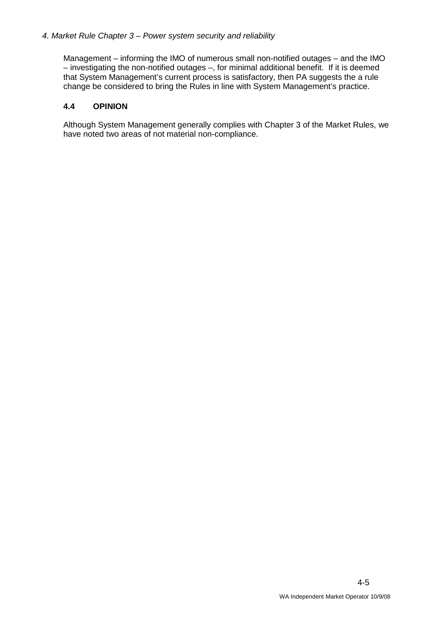Management – informing the IMO of numerous small non-notified outages – and the IMO – investigating the non-notified outages –, for minimal additional benefit. If it is deemed that System Management's current process is satisfactory, then PA suggests the a rule change be considered to bring the Rules in line with System Management's practice.

#### **4.4 OPINION**

Although System Management generally complies with Chapter 3 of the Market Rules, we have noted two areas of not material non-compliance.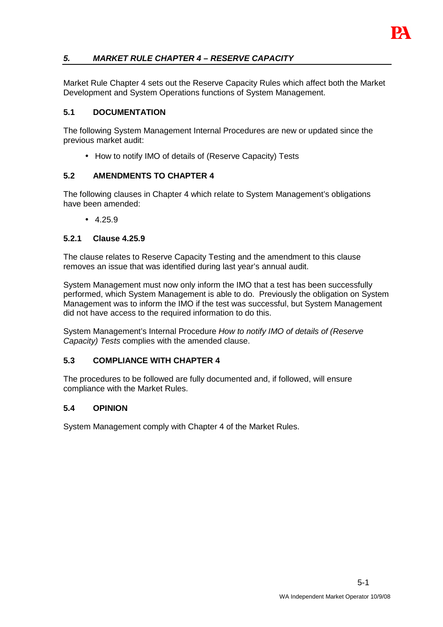

# **5. MARKET RULE CHAPTER 4 – RESERVE CAPACITY**

Market Rule Chapter 4 sets out the Reserve Capacity Rules which affect both the Market Development and System Operations functions of System Management.

#### **5.1 DOCUMENTATION**

The following System Management Internal Procedures are new or updated since the previous market audit:

• How to notify IMO of details of (Reserve Capacity) Tests

#### **5.2 AMENDMENTS TO CHAPTER 4**

The following clauses in Chapter 4 which relate to System Management's obligations have been amended:

 $4.25.9$ 

#### **5.2.1 Clause 4.25.9**

The clause relates to Reserve Capacity Testing and the amendment to this clause removes an issue that was identified during last year's annual audit.

System Management must now only inform the IMO that a test has been successfully performed, which System Management is able to do. Previously the obligation on System Management was to inform the IMO if the test was successful, but System Management did not have access to the required information to do this.

System Management's Internal Procedure How to notify IMO of details of (Reserve Capacity) Tests complies with the amended clause.

#### **5.3 COMPLIANCE WITH CHAPTER 4**

The procedures to be followed are fully documented and, if followed, will ensure compliance with the Market Rules.

#### **5.4 OPINION**

System Management comply with Chapter 4 of the Market Rules.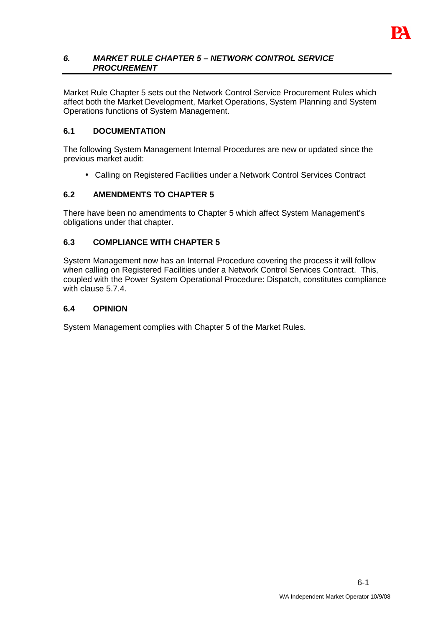

#### **6. MARKET RULE CHAPTER 5 – NETWORK CONTROL SERVICE PROCUREMENT**

Market Rule Chapter 5 sets out the Network Control Service Procurement Rules which affect both the Market Development, Market Operations, System Planning and System Operations functions of System Management.

# **6.1 DOCUMENTATION**

The following System Management Internal Procedures are new or updated since the previous market audit:

• Calling on Registered Facilities under a Network Control Services Contract

# **6.2 AMENDMENTS TO CHAPTER 5**

There have been no amendments to Chapter 5 which affect System Management's obligations under that chapter.

#### **6.3 COMPLIANCE WITH CHAPTER 5**

System Management now has an Internal Procedure covering the process it will follow when calling on Registered Facilities under a Network Control Services Contract. This, coupled with the Power System Operational Procedure: Dispatch, constitutes compliance with clause 5.7.4.

#### **6.4 OPINION**

System Management complies with Chapter 5 of the Market Rules.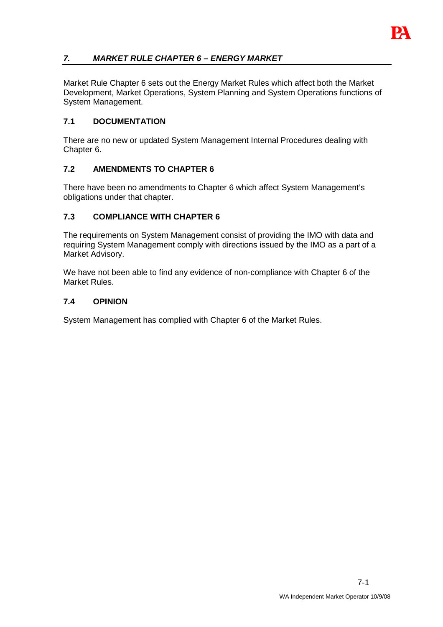# **7. MARKET RULE CHAPTER 6 – ENERGY MARKET**

Market Rule Chapter 6 sets out the Energy Market Rules which affect both the Market Development, Market Operations, System Planning and System Operations functions of System Management.

# **7.1 DOCUMENTATION**

There are no new or updated System Management Internal Procedures dealing with Chapter 6.

# **7.2 AMENDMENTS TO CHAPTER 6**

There have been no amendments to Chapter 6 which affect System Management's obligations under that chapter.

# **7.3 COMPLIANCE WITH CHAPTER 6**

The requirements on System Management consist of providing the IMO with data and requiring System Management comply with directions issued by the IMO as a part of a Market Advisory.

We have not been able to find any evidence of non-compliance with Chapter 6 of the Market Rules.

#### **7.4 OPINION**

System Management has complied with Chapter 6 of the Market Rules.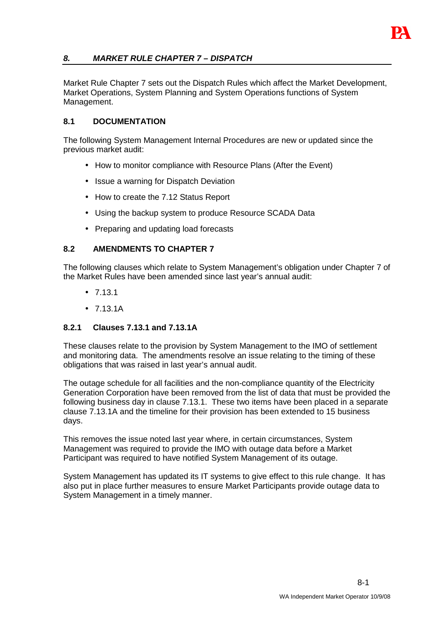

# **8. MARKET RULE CHAPTER 7 – DISPATCH**

Market Rule Chapter 7 sets out the Dispatch Rules which affect the Market Development, Market Operations, System Planning and System Operations functions of System Management.

## **8.1 DOCUMENTATION**

The following System Management Internal Procedures are new or updated since the previous market audit:

- How to monitor compliance with Resource Plans (After the Event)
- Issue a warning for Dispatch Deviation
- How to create the 7.12 Status Report
- Using the backup system to produce Resource SCADA Data
- Preparing and updating load forecasts

#### **8.2 AMENDMENTS TO CHAPTER 7**

The following clauses which relate to System Management's obligation under Chapter 7 of the Market Rules have been amended since last year's annual audit:

- $7.13.1$
- $7131A$

# **8.2.1 Clauses 7.13.1 and 7.13.1A**

These clauses relate to the provision by System Management to the IMO of settlement and monitoring data. The amendments resolve an issue relating to the timing of these obligations that was raised in last year's annual audit.

The outage schedule for all facilities and the non-compliance quantity of the Electricity Generation Corporation have been removed from the list of data that must be provided the following business day in clause 7.13.1. These two items have been placed in a separate clause 7.13.1A and the timeline for their provision has been extended to 15 business days.

This removes the issue noted last year where, in certain circumstances, System Management was required to provide the IMO with outage data before a Market Participant was required to have notified System Management of its outage.

System Management has updated its IT systems to give effect to this rule change. It has also put in place further measures to ensure Market Participants provide outage data to System Management in a timely manner.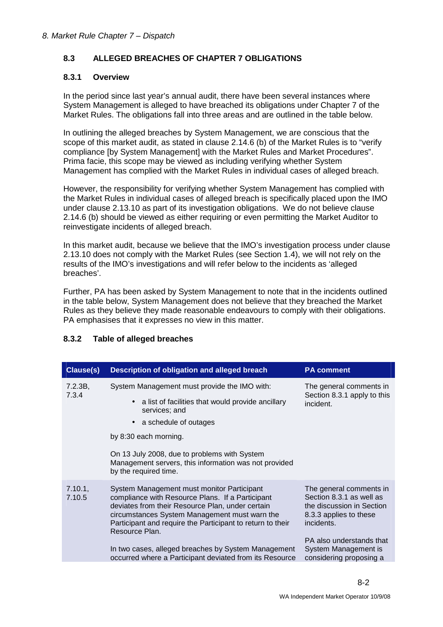# **8.3 ALLEGED BREACHES OF CHAPTER 7 OBLIGATIONS**

#### **8.3.1 Overview**

In the period since last year's annual audit, there have been several instances where System Management is alleged to have breached its obligations under Chapter 7 of the Market Rules. The obligations fall into three areas and are outlined in the table below.

In outlining the alleged breaches by System Management, we are conscious that the scope of this market audit, as stated in clause 2.14.6 (b) of the Market Rules is to "verify compliance [by System Management] with the Market Rules and Market Procedures". Prima facie, this scope may be viewed as including verifying whether System Management has complied with the Market Rules in individual cases of alleged breach.

However, the responsibility for verifying whether System Management has complied with the Market Rules in individual cases of alleged breach is specifically placed upon the IMO under clause 2.13.10 as part of its investigation obligations. We do not believe clause 2.14.6 (b) should be viewed as either requiring or even permitting the Market Auditor to reinvestigate incidents of alleged breach.

In this market audit, because we believe that the IMO's investigation process under clause 2.13.10 does not comply with the Market Rules (see Section 1.4), we will not rely on the results of the IMO's investigations and will refer below to the incidents as 'alleged breaches'.

Further, PA has been asked by System Management to note that in the incidents outlined in the table below, System Management does not believe that they breached the Market Rules as they believe they made reasonable endeavours to comply with their obligations. PA emphasises that it expresses no view in this matter.

| <b>Clause(s)</b>  | <b>Description of obligation and alleged breach</b>                                                                                                                                                                                                                                                                                                                                                   | <b>PA comment</b>                                                                                                                                                                                       |
|-------------------|-------------------------------------------------------------------------------------------------------------------------------------------------------------------------------------------------------------------------------------------------------------------------------------------------------------------------------------------------------------------------------------------------------|---------------------------------------------------------------------------------------------------------------------------------------------------------------------------------------------------------|
| 7.2.3B,<br>7.3.4  | System Management must provide the IMO with:<br>a list of facilities that would provide ancillary<br>services; and<br>a schedule of outages<br>by 8:30 each morning.<br>On 13 July 2008, due to problems with System<br>Management servers, this information was not provided<br>by the required time.                                                                                                | The general comments in<br>Section 8.3.1 apply to this<br>incident.                                                                                                                                     |
| 7.10.1,<br>7.10.5 | System Management must monitor Participant<br>compliance with Resource Plans. If a Participant<br>deviates from their Resource Plan, under certain<br>circumstances System Management must warn the<br>Participant and require the Participant to return to their<br>Resource Plan.<br>In two cases, alleged breaches by System Management<br>occurred where a Participant deviated from its Resource | The general comments in<br>Section 8.3.1 as well as<br>the discussion in Section<br>8.3.3 applies to these<br>incidents.<br>PA also understands that<br>System Management is<br>considering proposing a |

# **8.3.2 Table of alleged breaches**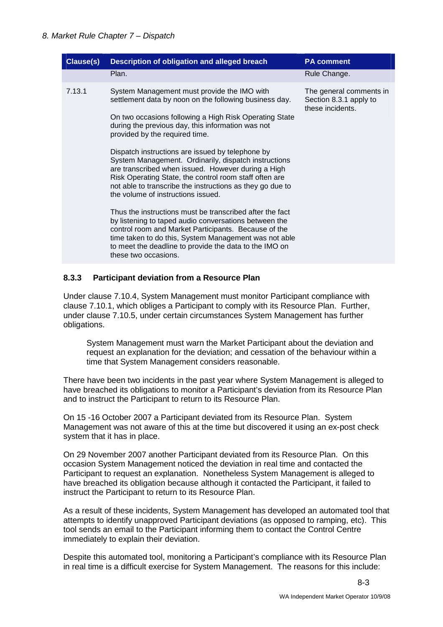| Clause(s) | Description of obligation and alleged breach                                                                                                                                                                                                                                                                                                                                                                                                                                                                                                                                                                                                                                                                                                                                                                                                                                                                  | <b>PA comment</b>                                                     |
|-----------|---------------------------------------------------------------------------------------------------------------------------------------------------------------------------------------------------------------------------------------------------------------------------------------------------------------------------------------------------------------------------------------------------------------------------------------------------------------------------------------------------------------------------------------------------------------------------------------------------------------------------------------------------------------------------------------------------------------------------------------------------------------------------------------------------------------------------------------------------------------------------------------------------------------|-----------------------------------------------------------------------|
|           | Plan.                                                                                                                                                                                                                                                                                                                                                                                                                                                                                                                                                                                                                                                                                                                                                                                                                                                                                                         | Rule Change.                                                          |
| 7.13.1    | System Management must provide the IMO with<br>settlement data by noon on the following business day.<br>On two occasions following a High Risk Operating State<br>during the previous day, this information was not<br>provided by the required time.<br>Dispatch instructions are issued by telephone by<br>System Management. Ordinarily, dispatch instructions<br>are transcribed when issued. However during a High<br>Risk Operating State, the control room staff often are<br>not able to transcribe the instructions as they go due to<br>the volume of instructions issued.<br>Thus the instructions must be transcribed after the fact<br>by listening to taped audio conversations between the<br>control room and Market Participants. Because of the<br>time taken to do this, System Management was not able<br>to meet the deadline to provide the data to the IMO on<br>these two occasions. | The general comments in<br>Section 8.3.1 apply to<br>these incidents. |

#### **8.3.3 Participant deviation from a Resource Plan**

Under clause 7.10.4, System Management must monitor Participant compliance with clause 7.10.1, which obliges a Participant to comply with its Resource Plan. Further, under clause 7.10.5, under certain circumstances System Management has further obligations.

System Management must warn the Market Participant about the deviation and request an explanation for the deviation; and cessation of the behaviour within a time that System Management considers reasonable.

There have been two incidents in the past year where System Management is alleged to have breached its obligations to monitor a Participant's deviation from its Resource Plan and to instruct the Participant to return to its Resource Plan.

On 15 -16 October 2007 a Participant deviated from its Resource Plan. System Management was not aware of this at the time but discovered it using an ex-post check system that it has in place.

On 29 November 2007 another Participant deviated from its Resource Plan. On this occasion System Management noticed the deviation in real time and contacted the Participant to request an explanation. Nonetheless System Management is alleged to have breached its obligation because although it contacted the Participant, it failed to instruct the Participant to return to its Resource Plan.

As a result of these incidents, System Management has developed an automated tool that attempts to identify unapproved Participant deviations (as opposed to ramping, etc). This tool sends an email to the Participant informing them to contact the Control Centre immediately to explain their deviation.

Despite this automated tool, monitoring a Participant's compliance with its Resource Plan in real time is a difficult exercise for System Management. The reasons for this include: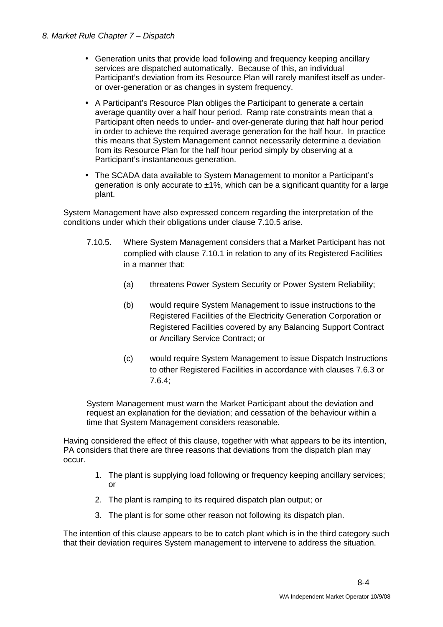- Generation units that provide load following and frequency keeping ancillary services are dispatched automatically. Because of this, an individual Participant's deviation from its Resource Plan will rarely manifest itself as underor over-generation or as changes in system frequency.
- A Participant's Resource Plan obliges the Participant to generate a certain average quantity over a half hour period. Ramp rate constraints mean that a Participant often needs to under- and over-generate during that half hour period in order to achieve the required average generation for the half hour. In practice this means that System Management cannot necessarily determine a deviation from its Resource Plan for the half hour period simply by observing at a Participant's instantaneous generation.
- The SCADA data available to System Management to monitor a Participant's generation is only accurate to  $\pm 1\%$ , which can be a significant quantity for a large plant.

System Management have also expressed concern regarding the interpretation of the conditions under which their obligations under clause 7.10.5 arise.

- 7.10.5. Where System Management considers that a Market Participant has not complied with clause 7.10.1 in relation to any of its Registered Facilities in a manner that:
	- (a) threatens Power System Security or Power System Reliability;
	- (b) would require System Management to issue instructions to the Registered Facilities of the Electricity Generation Corporation or Registered Facilities covered by any Balancing Support Contract or Ancillary Service Contract; or
	- (c) would require System Management to issue Dispatch Instructions to other Registered Facilities in accordance with clauses 7.6.3 or 7.6.4;

System Management must warn the Market Participant about the deviation and request an explanation for the deviation; and cessation of the behaviour within a time that System Management considers reasonable.

Having considered the effect of this clause, together with what appears to be its intention, PA considers that there are three reasons that deviations from the dispatch plan may occur.

- 1. The plant is supplying load following or frequency keeping ancillary services; or
- 2. The plant is ramping to its required dispatch plan output; or
- 3. The plant is for some other reason not following its dispatch plan.

The intention of this clause appears to be to catch plant which is in the third category such that their deviation requires System management to intervene to address the situation.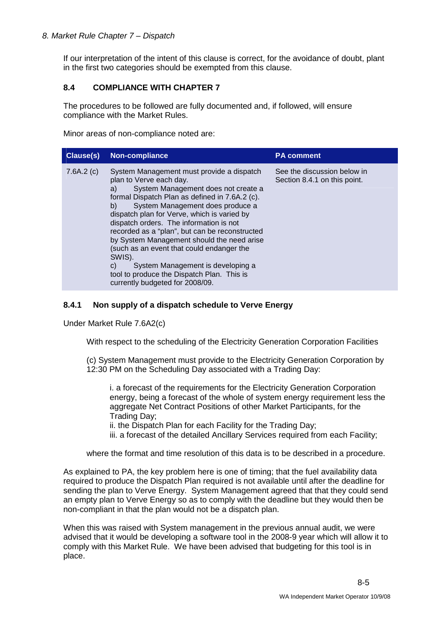If our interpretation of the intent of this clause is correct, for the avoidance of doubt, plant in the first two categories should be exempted from this clause.

# **8.4 COMPLIANCE WITH CHAPTER 7**

The procedures to be followed are fully documented and, if followed, will ensure compliance with the Market Rules.

Minor areas of non-compliance noted are:

| <b>Clause(s)</b> | Non-compliance                                                                                                                                                                                                                                                                                                                                                                                                                                                                                                                                                                             | <b>PA comment</b>                                           |
|------------------|--------------------------------------------------------------------------------------------------------------------------------------------------------------------------------------------------------------------------------------------------------------------------------------------------------------------------------------------------------------------------------------------------------------------------------------------------------------------------------------------------------------------------------------------------------------------------------------------|-------------------------------------------------------------|
| 7.6A.2(c)        | System Management must provide a dispatch<br>plan to Verve each day.<br>System Management does not create a<br>a)<br>formal Dispatch Plan as defined in 7.6A.2 (c).<br>System Management does produce a<br>b)<br>dispatch plan for Verve, which is varied by<br>dispatch orders. The information is not<br>recorded as a "plan", but can be reconstructed<br>by System Management should the need arise<br>(such as an event that could endanger the<br>SWIS).<br>System Management is developing a<br>C)<br>tool to produce the Dispatch Plan. This is<br>currently budgeted for 2008/09. | See the discussion below in<br>Section 8.4.1 on this point. |

#### **8.4.1 Non supply of a dispatch schedule to Verve Energy**

Under Market Rule 7.6A2(c)

With respect to the scheduling of the Electricity Generation Corporation Facilities

(c) System Management must provide to the Electricity Generation Corporation by 12:30 PM on the Scheduling Day associated with a Trading Day:

i. a forecast of the requirements for the Electricity Generation Corporation energy, being a forecast of the whole of system energy requirement less the aggregate Net Contract Positions of other Market Participants, for the Trading Day;

ii. the Dispatch Plan for each Facility for the Trading Day;

iii. a forecast of the detailed Ancillary Services required from each Facility;

where the format and time resolution of this data is to be described in a procedure.

As explained to PA, the key problem here is one of timing; that the fuel availability data required to produce the Dispatch Plan required is not available until after the deadline for sending the plan to Verve Energy. System Management agreed that that they could send an empty plan to Verve Energy so as to comply with the deadline but they would then be non-compliant in that the plan would not be a dispatch plan.

When this was raised with System management in the previous annual audit, we were advised that it would be developing a software tool in the 2008-9 year which will allow it to comply with this Market Rule. We have been advised that budgeting for this tool is in place.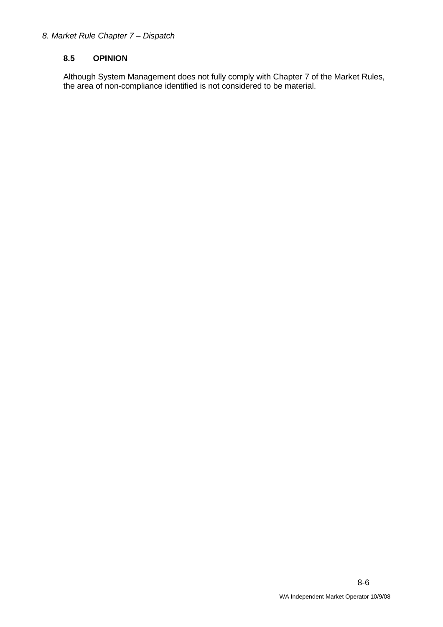# **8.5 OPINION**

Although System Management does not fully comply with Chapter 7 of the Market Rules, the area of non-compliance identified is not considered to be material.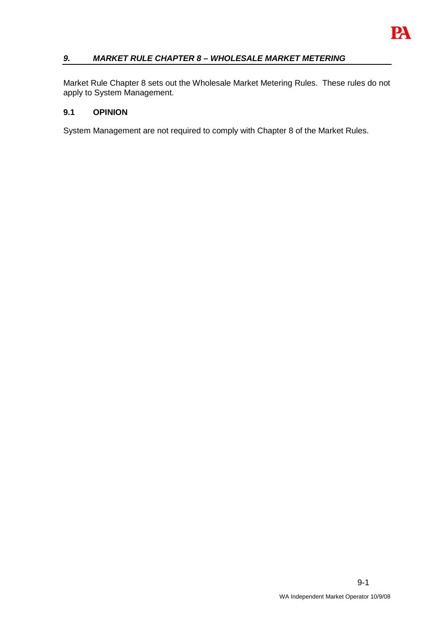

# **9. MARKET RULE CHAPTER 8 – WHOLESALE MARKET METERING**

Market Rule Chapter 8 sets out the Wholesale Market Metering Rules. These rules do not apply to System Management.

#### **9.1 OPINION**

System Management are not required to comply with Chapter 8 of the Market Rules.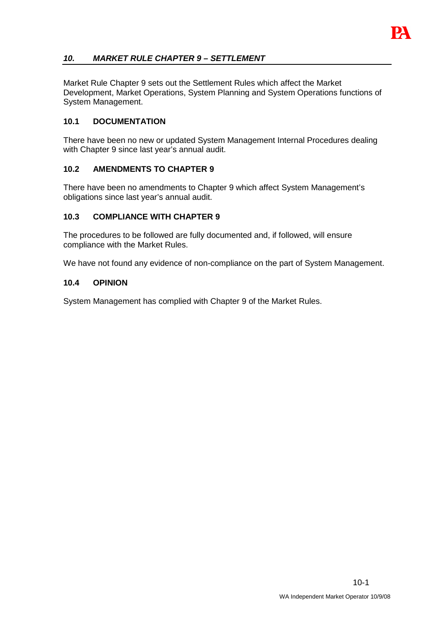

# **10. MARKET RULE CHAPTER 9 – SETTLEMENT**

Market Rule Chapter 9 sets out the Settlement Rules which affect the Market Development, Market Operations, System Planning and System Operations functions of System Management.

#### **10.1 DOCUMENTATION**

There have been no new or updated System Management Internal Procedures dealing with Chapter 9 since last year's annual audit.

#### **10.2 AMENDMENTS TO CHAPTER 9**

There have been no amendments to Chapter 9 which affect System Management's obligations since last year's annual audit.

#### **10.3 COMPLIANCE WITH CHAPTER 9**

The procedures to be followed are fully documented and, if followed, will ensure compliance with the Market Rules.

We have not found any evidence of non-compliance on the part of System Management.

#### **10.4 OPINION**

System Management has complied with Chapter 9 of the Market Rules.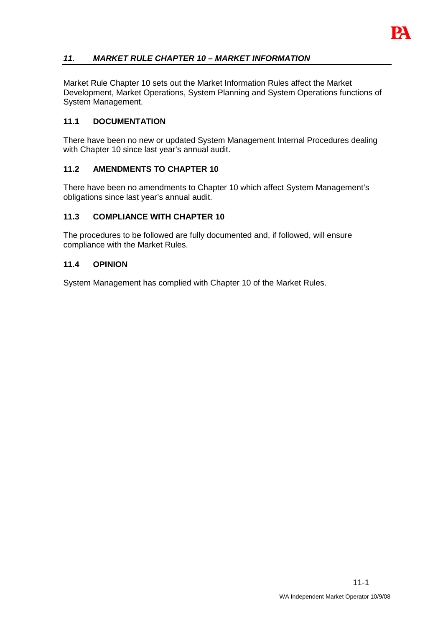

# **11. MARKET RULE CHAPTER 10 – MARKET INFORMATION**

Market Rule Chapter 10 sets out the Market Information Rules affect the Market Development, Market Operations, System Planning and System Operations functions of System Management.

#### **11.1 DOCUMENTATION**

There have been no new or updated System Management Internal Procedures dealing with Chapter 10 since last year's annual audit.

#### **11.2 AMENDMENTS TO CHAPTER 10**

There have been no amendments to Chapter 10 which affect System Management's obligations since last year's annual audit.

#### **11.3 COMPLIANCE WITH CHAPTER 10**

The procedures to be followed are fully documented and, if followed, will ensure compliance with the Market Rules.

#### **11.4 OPINION**

System Management has complied with Chapter 10 of the Market Rules.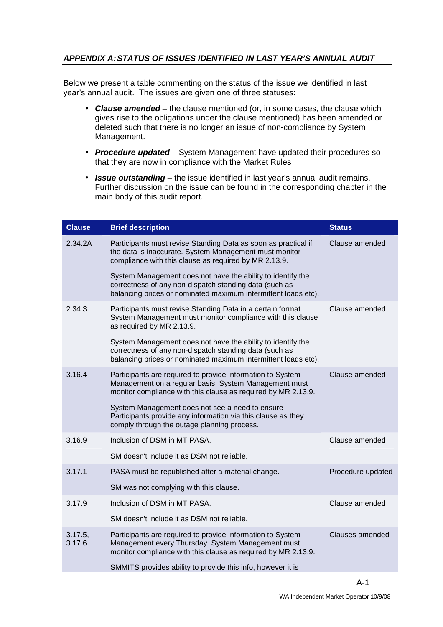# **APPENDIX A: STATUS OF ISSUES IDENTIFIED IN LAST YEAR'S ANNUAL AUDIT**

Below we present a table commenting on the status of the issue we identified in last year's annual audit. The issues are given one of three statuses:

- **Clause amended** the clause mentioned (or, in some cases, the clause which gives rise to the obligations under the clause mentioned) has been amended or deleted such that there is no longer an issue of non-compliance by System Management.
- **Procedure updated**  System Management have updated their procedures so that they are now in compliance with the Market Rules
- **Issue outstanding** the issue identified in last year's annual audit remains. Further discussion on the issue can be found in the corresponding chapter in the main body of this audit report.

| <b>Clause</b>     | <b>Brief description</b>                                                                                                                                                                | <b>Status</b>     |
|-------------------|-----------------------------------------------------------------------------------------------------------------------------------------------------------------------------------------|-------------------|
| 2.34.2A           | Participants must revise Standing Data as soon as practical if<br>the data is inaccurate. System Management must monitor<br>compliance with this clause as required by MR 2.13.9.       | Clause amended    |
|                   | System Management does not have the ability to identify the<br>correctness of any non-dispatch standing data (such as<br>balancing prices or nominated maximum intermittent loads etc). |                   |
| 2.34.3            | Participants must revise Standing Data in a certain format.<br>System Management must monitor compliance with this clause<br>as required by MR 2.13.9.                                  | Clause amended    |
|                   | System Management does not have the ability to identify the<br>correctness of any non-dispatch standing data (such as<br>balancing prices or nominated maximum intermittent loads etc). |                   |
| 3.16.4            | Participants are required to provide information to System<br>Management on a regular basis. System Management must<br>monitor compliance with this clause as required by MR 2.13.9.    | Clause amended    |
|                   | System Management does not see a need to ensure<br>Participants provide any information via this clause as they<br>comply through the outage planning process.                          |                   |
| 3.16.9            | Inclusion of DSM in MT PASA.                                                                                                                                                            | Clause amended    |
|                   | SM doesn't include it as DSM not reliable.                                                                                                                                              |                   |
| 3.17.1            | PASA must be republished after a material change.                                                                                                                                       | Procedure updated |
|                   | SM was not complying with this clause.                                                                                                                                                  |                   |
| 3.17.9            | Inclusion of DSM in MT PASA.                                                                                                                                                            | Clause amended    |
|                   | SM doesn't include it as DSM not reliable.                                                                                                                                              |                   |
| 3.17.5,<br>3.17.6 | Participants are required to provide information to System<br>Management every Thursday. System Management must<br>monitor compliance with this clause as required by MR 2.13.9.        | Clauses amended   |
|                   | SMMITS provides ability to provide this info, however it is                                                                                                                             |                   |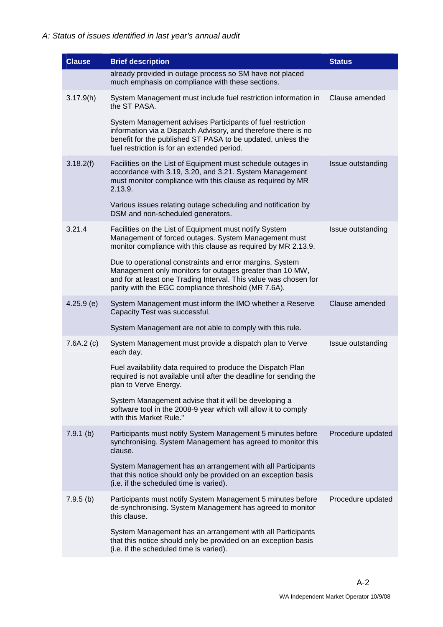| <b>Clause</b> | <b>Brief description</b>                                                                                                                                                                                                                        | <b>Status</b>     |
|---------------|-------------------------------------------------------------------------------------------------------------------------------------------------------------------------------------------------------------------------------------------------|-------------------|
|               | already provided in outage process so SM have not placed<br>much emphasis on compliance with these sections.                                                                                                                                    |                   |
| 3.17.9(h)     | System Management must include fuel restriction information in<br>the ST PASA.                                                                                                                                                                  | Clause amended    |
|               | System Management advises Participants of fuel restriction<br>information via a Dispatch Advisory, and therefore there is no<br>benefit for the published ST PASA to be updated, unless the<br>fuel restriction is for an extended period.      |                   |
| 3.18.2(f)     | Facilities on the List of Equipment must schedule outages in<br>accordance with 3.19, 3.20, and 3.21. System Management<br>must monitor compliance with this clause as required by MR<br>2.13.9.                                                | Issue outstanding |
|               | Various issues relating outage scheduling and notification by<br>DSM and non-scheduled generators.                                                                                                                                              |                   |
| 3.21.4        | Facilities on the List of Equipment must notify System<br>Management of forced outages. System Management must<br>monitor compliance with this clause as required by MR 2.13.9.                                                                 | Issue outstanding |
|               | Due to operational constraints and error margins, System<br>Management only monitors for outages greater than 10 MW,<br>and for at least one Trading Interval. This value was chosen for<br>parity with the EGC compliance threshold (MR 7.6A). |                   |
| $4.25.9$ (e)  | System Management must inform the IMO whether a Reserve<br>Capacity Test was successful.                                                                                                                                                        | Clause amended    |
|               | System Management are not able to comply with this rule.                                                                                                                                                                                        |                   |
| 7.6A.2(c)     | System Management must provide a dispatch plan to Verve<br>each day.                                                                                                                                                                            | Issue outstanding |
|               | Fuel availability data required to produce the Dispatch Plan<br>required is not available until after the deadline for sending the<br>plan to Verve Energy.                                                                                     |                   |
|               | System Management advise that it will be developing a<br>software tool in the 2008-9 year which will allow it to comply<br>with this Market Rule."                                                                                              |                   |
| $7.9.1$ (b)   | Participants must notify System Management 5 minutes before<br>synchronising. System Management has agreed to monitor this<br>clause.                                                                                                           | Procedure updated |
|               | System Management has an arrangement with all Participants<br>that this notice should only be provided on an exception basis<br>(i.e. if the scheduled time is varied).                                                                         |                   |
| $7.9.5$ (b)   | Participants must notify System Management 5 minutes before<br>de-synchronising. System Management has agreed to monitor<br>this clause.                                                                                                        | Procedure updated |
|               | System Management has an arrangement with all Participants<br>that this notice should only be provided on an exception basis<br>(i.e. if the scheduled time is varied).                                                                         |                   |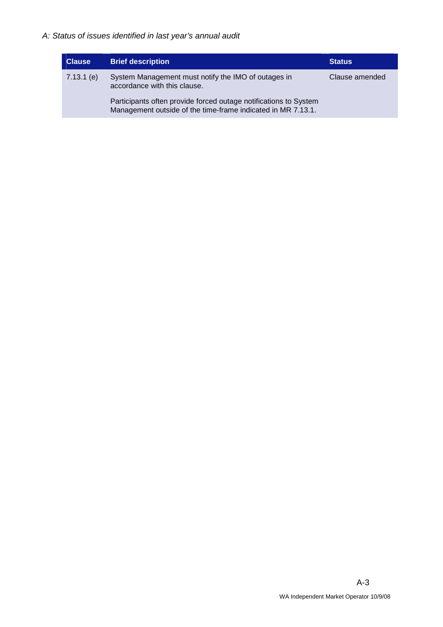| <b>Clause</b> | <b>Brief description</b>                                                                                                         | <b>Status</b>  |
|---------------|----------------------------------------------------------------------------------------------------------------------------------|----------------|
| $7.13.1$ (e)  | System Management must notify the IMO of outages in<br>accordance with this clause.                                              | Clause amended |
|               | Participants often provide forced outage notifications to System<br>Management outside of the time-frame indicated in MR 7.13.1. |                |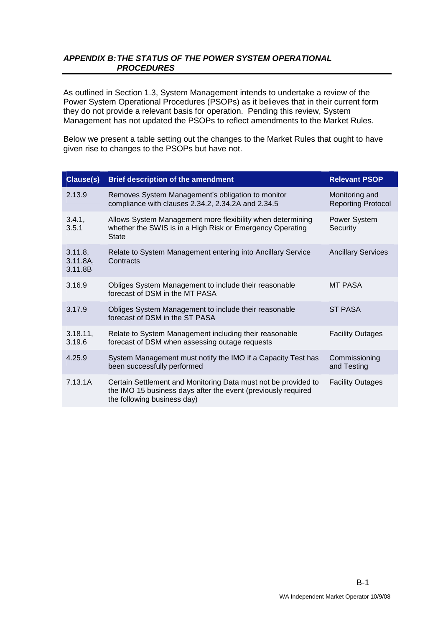# **APPENDIX B: THE STATUS OF THE POWER SYSTEM OPERATIONAL PROCEDURES**

As outlined in Section 1.3, System Management intends to undertake a review of the Power System Operational Procedures (PSOPs) as it believes that in their current form they do not provide a relevant basis for operation. Pending this review, System Management has not updated the PSOPs to reflect amendments to the Market Rules.

Below we present a table setting out the changes to the Market Rules that ought to have given rise to changes to the PSOPs but have not.

| Clause(s)                      | <b>Brief description of the amendment</b>                                                                                                                      | <b>Relevant PSOP</b>                        |
|--------------------------------|----------------------------------------------------------------------------------------------------------------------------------------------------------------|---------------------------------------------|
| 2.13.9                         | Removes System Management's obligation to monitor<br>compliance with clauses 2.34.2, 2.34.2A and 2.34.5                                                        | Monitoring and<br><b>Reporting Protocol</b> |
| 3.4.1,<br>3.5.1                | Allows System Management more flexibility when determining<br>whether the SWIS is in a High Risk or Emergency Operating<br><b>State</b>                        | Power System<br>Security                    |
| 3.11.8,<br>3.11.8A,<br>3.11.8B | Relate to System Management entering into Ancillary Service<br>Contracts                                                                                       | <b>Ancillary Services</b>                   |
| 3.16.9                         | Obliges System Management to include their reasonable<br>forecast of DSM in the MT PASA                                                                        | <b>MT PASA</b>                              |
| 3.17.9                         | Obliges System Management to include their reasonable<br>forecast of DSM in the ST PASA                                                                        | <b>ST PASA</b>                              |
| 3.18.11,<br>3.19.6             | Relate to System Management including their reasonable<br>forecast of DSM when assessing outage requests                                                       | <b>Facility Outages</b>                     |
| 4.25.9                         | System Management must notify the IMO if a Capacity Test has<br>been successfully performed                                                                    | Commissioning<br>and Testing                |
| 7.13.1A                        | Certain Settlement and Monitoring Data must not be provided to<br>the IMO 15 business days after the event (previously required<br>the following business day) | <b>Facility Outages</b>                     |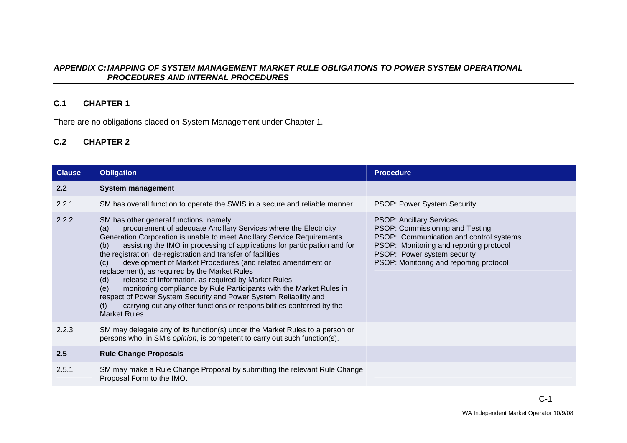#### **APPENDIX C: MAPPING OF SYSTEM MANAGEMENT MARKET RULE OBLIGATIONS TO POWER SYSTEM OPERATIONAL PROCEDURES AND INTERNAL PROCEDURES**

# **C.1 CHAPTER 1**

There are no obligations placed on System Management under Chapter 1.

# **C.2 CHAPTER 2**

| <b>Clause</b> | <b>Obligation</b>                                                                                                                                                                                                                                                                                                                                                                                                                                                                                                                                                                                                                                                                                                                                                                         | <b>Procedure</b>                                                                                                                                                                                                                   |
|---------------|-------------------------------------------------------------------------------------------------------------------------------------------------------------------------------------------------------------------------------------------------------------------------------------------------------------------------------------------------------------------------------------------------------------------------------------------------------------------------------------------------------------------------------------------------------------------------------------------------------------------------------------------------------------------------------------------------------------------------------------------------------------------------------------------|------------------------------------------------------------------------------------------------------------------------------------------------------------------------------------------------------------------------------------|
| 2.2           | <b>System management</b>                                                                                                                                                                                                                                                                                                                                                                                                                                                                                                                                                                                                                                                                                                                                                                  |                                                                                                                                                                                                                                    |
| 2.2.1         | SM has overall function to operate the SWIS in a secure and reliable manner.                                                                                                                                                                                                                                                                                                                                                                                                                                                                                                                                                                                                                                                                                                              | PSOP: Power System Security                                                                                                                                                                                                        |
| 2.2.2         | SM has other general functions, namely:<br>procurement of adequate Ancillary Services where the Electricity<br>(a)<br>Generation Corporation is unable to meet Ancillary Service Requirements<br>assisting the IMO in processing of applications for participation and for<br>(b)<br>the registration, de-registration and transfer of facilities<br>development of Market Procedures (and related amendment or<br>(c)<br>replacement), as required by the Market Rules<br>release of information, as required by Market Rules<br>(d)<br>monitoring compliance by Rule Participants with the Market Rules in<br>(e)<br>respect of Power System Security and Power System Reliability and<br>carrying out any other functions or responsibilities conferred by the<br>(f)<br>Market Rules. | <b>PSOP: Ancillary Services</b><br>PSOP: Commissioning and Testing<br>PSOP: Communication and control systems<br>PSOP: Monitoring and reporting protocol<br>PSOP: Power system security<br>PSOP: Monitoring and reporting protocol |
| 2.2.3         | SM may delegate any of its function(s) under the Market Rules to a person or<br>persons who, in SM's opinion, is competent to carry out such function(s).                                                                                                                                                                                                                                                                                                                                                                                                                                                                                                                                                                                                                                 |                                                                                                                                                                                                                                    |
| 2.5           | <b>Rule Change Proposals</b>                                                                                                                                                                                                                                                                                                                                                                                                                                                                                                                                                                                                                                                                                                                                                              |                                                                                                                                                                                                                                    |
| 2.5.1         | SM may make a Rule Change Proposal by submitting the relevant Rule Change<br>Proposal Form to the IMO.                                                                                                                                                                                                                                                                                                                                                                                                                                                                                                                                                                                                                                                                                    |                                                                                                                                                                                                                                    |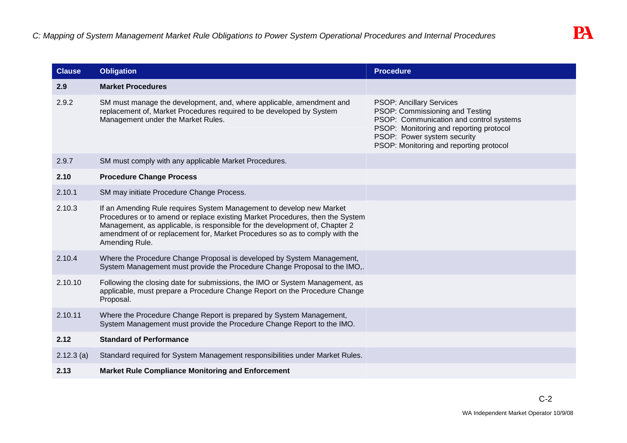| <b>Clause</b> | <b>Obligation</b>                                                                                                                                                                                                                                                                                                                     | <b>Procedure</b>                                                                                                                                                                                                                   |
|---------------|---------------------------------------------------------------------------------------------------------------------------------------------------------------------------------------------------------------------------------------------------------------------------------------------------------------------------------------|------------------------------------------------------------------------------------------------------------------------------------------------------------------------------------------------------------------------------------|
| 2.9           | <b>Market Procedures</b>                                                                                                                                                                                                                                                                                                              |                                                                                                                                                                                                                                    |
| 2.9.2         | SM must manage the development, and, where applicable, amendment and<br>replacement of, Market Procedures required to be developed by System<br>Management under the Market Rules.                                                                                                                                                    | <b>PSOP: Ancillary Services</b><br>PSOP: Commissioning and Testing<br>PSOP: Communication and control systems<br>PSOP: Monitoring and reporting protocol<br>PSOP: Power system security<br>PSOP: Monitoring and reporting protocol |
| 2.9.7         | SM must comply with any applicable Market Procedures.                                                                                                                                                                                                                                                                                 |                                                                                                                                                                                                                                    |
| 2.10          | <b>Procedure Change Process</b>                                                                                                                                                                                                                                                                                                       |                                                                                                                                                                                                                                    |
| 2.10.1        | SM may initiate Procedure Change Process.                                                                                                                                                                                                                                                                                             |                                                                                                                                                                                                                                    |
| 2.10.3        | If an Amending Rule requires System Management to develop new Market<br>Procedures or to amend or replace existing Market Procedures, then the System<br>Management, as applicable, is responsible for the development of, Chapter 2<br>amendment of or replacement for, Market Procedures so as to comply with the<br>Amending Rule. |                                                                                                                                                                                                                                    |
| 2.10.4        | Where the Procedure Change Proposal is developed by System Management,<br>System Management must provide the Procedure Change Proposal to the IMO,.                                                                                                                                                                                   |                                                                                                                                                                                                                                    |
| 2.10.10       | Following the closing date for submissions, the IMO or System Management, as<br>applicable, must prepare a Procedure Change Report on the Procedure Change<br>Proposal.                                                                                                                                                               |                                                                                                                                                                                                                                    |
| 2.10.11       | Where the Procedure Change Report is prepared by System Management,<br>System Management must provide the Procedure Change Report to the IMO.                                                                                                                                                                                         |                                                                                                                                                                                                                                    |
| 2.12          | <b>Standard of Performance</b>                                                                                                                                                                                                                                                                                                        |                                                                                                                                                                                                                                    |
| $2.12.3$ (a)  | Standard required for System Management responsibilities under Market Rules.                                                                                                                                                                                                                                                          |                                                                                                                                                                                                                                    |
| 2.13          | <b>Market Rule Compliance Monitoring and Enforcement</b>                                                                                                                                                                                                                                                                              |                                                                                                                                                                                                                                    |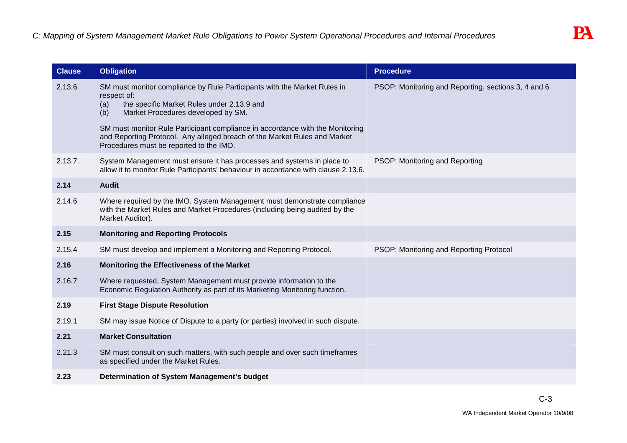| <b>Clause</b> | <b>Obligation</b>                                                                                                                                                                                                                                                          | <b>Procedure</b>                                    |
|---------------|----------------------------------------------------------------------------------------------------------------------------------------------------------------------------------------------------------------------------------------------------------------------------|-----------------------------------------------------|
| 2.13.6        | SM must monitor compliance by Rule Participants with the Market Rules in<br>respect of:<br>the specific Market Rules under 2.13.9 and<br>(a)<br>Market Procedures developed by SM.<br>(b)<br>SM must monitor Rule Participant compliance in accordance with the Monitoring | PSOP: Monitoring and Reporting, sections 3, 4 and 6 |
|               | and Reporting Protocol. Any alleged breach of the Market Rules and Market<br>Procedures must be reported to the IMO.                                                                                                                                                       |                                                     |
| 2.13.7.       | System Management must ensure it has processes and systems in place to<br>allow it to monitor Rule Participants' behaviour in accordance with clause 2.13.6.                                                                                                               | PSOP: Monitoring and Reporting                      |
| 2.14          | <b>Audit</b>                                                                                                                                                                                                                                                               |                                                     |
| 2.14.6        | Where required by the IMO, System Management must demonstrate compliance<br>with the Market Rules and Market Procedures (including being audited by the<br>Market Auditor).                                                                                                |                                                     |
| 2.15          | <b>Monitoring and Reporting Protocols</b>                                                                                                                                                                                                                                  |                                                     |
| 2.15.4        | SM must develop and implement a Monitoring and Reporting Protocol.                                                                                                                                                                                                         | PSOP: Monitoring and Reporting Protocol             |
| 2.16          | Monitoring the Effectiveness of the Market                                                                                                                                                                                                                                 |                                                     |
| 2.16.7        | Where requested, System Management must provide information to the<br>Economic Regulation Authority as part of its Marketing Monitoring function.                                                                                                                          |                                                     |
| 2.19          | <b>First Stage Dispute Resolution</b>                                                                                                                                                                                                                                      |                                                     |
| 2.19.1        | SM may issue Notice of Dispute to a party (or parties) involved in such dispute.                                                                                                                                                                                           |                                                     |
| 2.21          | <b>Market Consultation</b>                                                                                                                                                                                                                                                 |                                                     |
| 2.21.3        | SM must consult on such matters, with such people and over such timeframes<br>as specified under the Market Rules.                                                                                                                                                         |                                                     |
| 2.23          | Determination of System Management's budget                                                                                                                                                                                                                                |                                                     |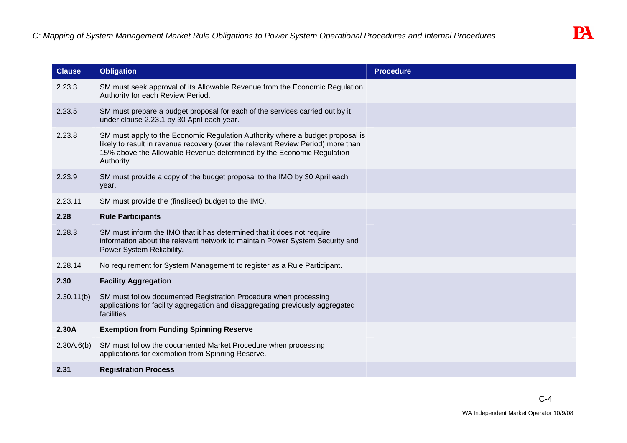| <b>Clause</b> | <b>Obligation</b>                                                                                                                                                                                                                                        | <b>Procedure</b> |
|---------------|----------------------------------------------------------------------------------------------------------------------------------------------------------------------------------------------------------------------------------------------------------|------------------|
| 2.23.3        | SM must seek approval of its Allowable Revenue from the Economic Regulation<br>Authority for each Review Period.                                                                                                                                         |                  |
| 2.23.5        | SM must prepare a budget proposal for each of the services carried out by it<br>under clause 2.23.1 by 30 April each year.                                                                                                                               |                  |
| 2.23.8        | SM must apply to the Economic Regulation Authority where a budget proposal is<br>likely to result in revenue recovery (over the relevant Review Period) more than<br>15% above the Allowable Revenue determined by the Economic Regulation<br>Authority. |                  |
| 2.23.9        | SM must provide a copy of the budget proposal to the IMO by 30 April each<br>year.                                                                                                                                                                       |                  |
| 2.23.11       | SM must provide the (finalised) budget to the IMO.                                                                                                                                                                                                       |                  |
| 2.28          | <b>Rule Participants</b>                                                                                                                                                                                                                                 |                  |
| 2.28.3        | SM must inform the IMO that it has determined that it does not require<br>information about the relevant network to maintain Power System Security and<br>Power System Reliability.                                                                      |                  |
| 2.28.14       | No requirement for System Management to register as a Rule Participant.                                                                                                                                                                                  |                  |
| 2.30          | <b>Facility Aggregation</b>                                                                                                                                                                                                                              |                  |
| 2.30.11(b)    | SM must follow documented Registration Procedure when processing<br>applications for facility aggregation and disaggregating previously aggregated<br>facilities.                                                                                        |                  |
| 2.30A         | <b>Exemption from Funding Spinning Reserve</b>                                                                                                                                                                                                           |                  |
| 2.30A.6(b)    | SM must follow the documented Market Procedure when processing<br>applications for exemption from Spinning Reserve.                                                                                                                                      |                  |
| 2.31          | <b>Registration Process</b>                                                                                                                                                                                                                              |                  |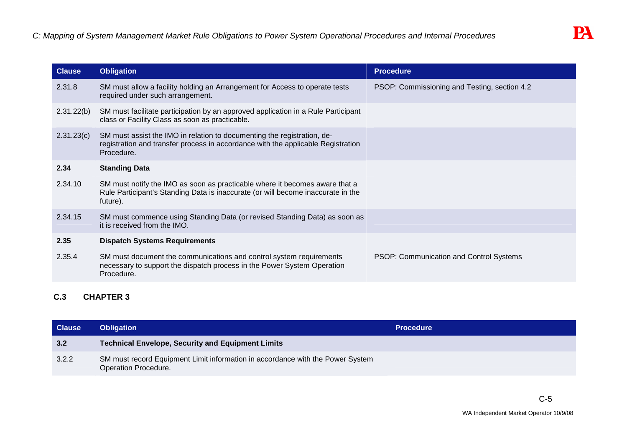| <b>Obligation</b>                                                                                                                                                           | <b>Procedure</b>                             |
|-----------------------------------------------------------------------------------------------------------------------------------------------------------------------------|----------------------------------------------|
| SM must allow a facility holding an Arrangement for Access to operate tests<br>required under such arrangement.                                                             | PSOP: Commissioning and Testing, section 4.2 |
| SM must facilitate participation by an approved application in a Rule Participant<br>class or Facility Class as soon as practicable.                                        |                                              |
| SM must assist the IMO in relation to documenting the registration, de-<br>registration and transfer process in accordance with the applicable Registration<br>Procedure.   |                                              |
| <b>Standing Data</b>                                                                                                                                                        |                                              |
| SM must notify the IMO as soon as practicable where it becomes aware that a<br>Rule Participant's Standing Data is inaccurate (or will become inaccurate in the<br>future). |                                              |
| SM must commence using Standing Data (or revised Standing Data) as soon as<br>it is received from the IMO.                                                                  |                                              |
| <b>Dispatch Systems Requirements</b>                                                                                                                                        |                                              |
| SM must document the communications and control system requirements<br>necessary to support the dispatch process in the Power System Operation<br>Procedure.                | PSOP: Communication and Control Systems      |
|                                                                                                                                                                             |                                              |

# **C.3 CHAPTER 3**

| <b>Clause</b> | <b>Obligation</b>                                                                                      | <b>Procedure</b> |
|---------------|--------------------------------------------------------------------------------------------------------|------------------|
| 3.2           | <b>Technical Envelope, Security and Equipment Limits</b>                                               |                  |
| 3.2.2         | SM must record Equipment Limit information in accordance with the Power System<br>Operation Procedure. |                  |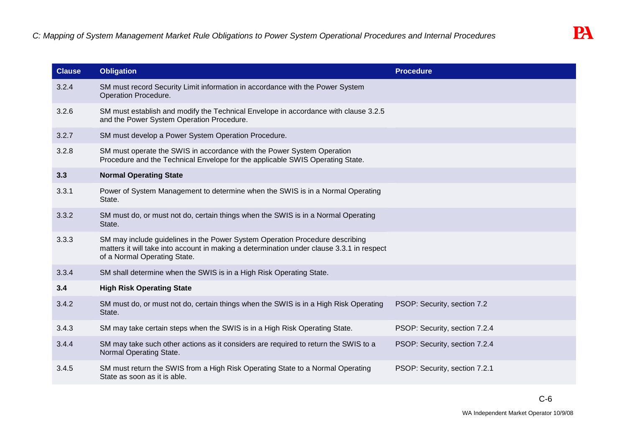| <b>Clause</b> | <b>Obligation</b>                                                                                                                                                                                         | <b>Procedure</b>              |
|---------------|-----------------------------------------------------------------------------------------------------------------------------------------------------------------------------------------------------------|-------------------------------|
| 3.2.4         | SM must record Security Limit information in accordance with the Power System<br>Operation Procedure.                                                                                                     |                               |
| 3.2.6         | SM must establish and modify the Technical Envelope in accordance with clause 3.2.5<br>and the Power System Operation Procedure.                                                                          |                               |
| 3.2.7         | SM must develop a Power System Operation Procedure.                                                                                                                                                       |                               |
| 3.2.8         | SM must operate the SWIS in accordance with the Power System Operation<br>Procedure and the Technical Envelope for the applicable SWIS Operating State.                                                   |                               |
| 3.3           | <b>Normal Operating State</b>                                                                                                                                                                             |                               |
| 3.3.1         | Power of System Management to determine when the SWIS is in a Normal Operating<br>State.                                                                                                                  |                               |
| 3.3.2         | SM must do, or must not do, certain things when the SWIS is in a Normal Operating<br>State.                                                                                                               |                               |
| 3.3.3         | SM may include guidelines in the Power System Operation Procedure describing<br>matters it will take into account in making a determination under clause 3.3.1 in respect<br>of a Normal Operating State. |                               |
| 3.3.4         | SM shall determine when the SWIS is in a High Risk Operating State.                                                                                                                                       |                               |
| 3.4           | <b>High Risk Operating State</b>                                                                                                                                                                          |                               |
| 3.4.2         | SM must do, or must not do, certain things when the SWIS is in a High Risk Operating<br>State.                                                                                                            | PSOP: Security, section 7.2   |
| 3.4.3         | SM may take certain steps when the SWIS is in a High Risk Operating State.                                                                                                                                | PSOP: Security, section 7.2.4 |
| 3.4.4         | SM may take such other actions as it considers are required to return the SWIS to a<br>Normal Operating State.                                                                                            | PSOP: Security, section 7.2.4 |
| 3.4.5         | SM must return the SWIS from a High Risk Operating State to a Normal Operating<br>State as soon as it is able.                                                                                            | PSOP: Security, section 7.2.1 |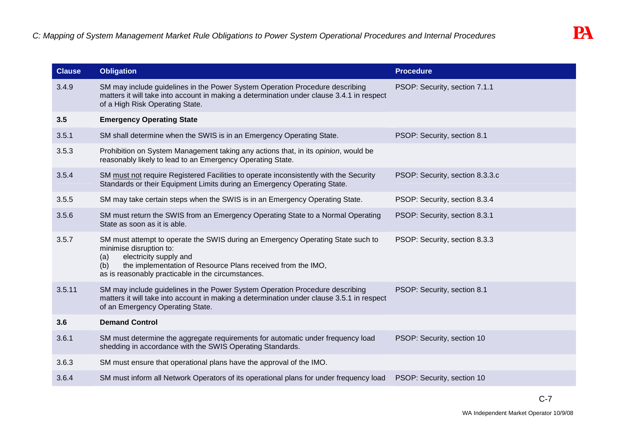| <b>Clause</b> | <b>Obligation</b>                                                                                                                                                                                                                                                       | <b>Procedure</b>                |
|---------------|-------------------------------------------------------------------------------------------------------------------------------------------------------------------------------------------------------------------------------------------------------------------------|---------------------------------|
| 3.4.9         | SM may include guidelines in the Power System Operation Procedure describing<br>matters it will take into account in making a determination under clause 3.4.1 in respect<br>of a High Risk Operating State.                                                            | PSOP: Security, section 7.1.1   |
| 3.5           | <b>Emergency Operating State</b>                                                                                                                                                                                                                                        |                                 |
| 3.5.1         | SM shall determine when the SWIS is in an Emergency Operating State.                                                                                                                                                                                                    | PSOP: Security, section 8.1     |
| 3.5.3         | Prohibition on System Management taking any actions that, in its opinion, would be<br>reasonably likely to lead to an Emergency Operating State.                                                                                                                        |                                 |
| 3.5.4         | SM must not require Registered Facilities to operate inconsistently with the Security<br>Standards or their Equipment Limits during an Emergency Operating State.                                                                                                       | PSOP: Security, section 8.3.3.c |
| 3.5.5         | SM may take certain steps when the SWIS is in an Emergency Operating State.                                                                                                                                                                                             | PSOP: Security, section 8.3.4   |
| 3.5.6         | SM must return the SWIS from an Emergency Operating State to a Normal Operating<br>State as soon as it is able.                                                                                                                                                         | PSOP: Security, section 8.3.1   |
| 3.5.7         | SM must attempt to operate the SWIS during an Emergency Operating State such to<br>minimise disruption to:<br>electricity supply and<br>(a)<br>the implementation of Resource Plans received from the IMO,<br>(b)<br>as is reasonably practicable in the circumstances. | PSOP: Security, section 8.3.3   |
| 3.5.11        | SM may include guidelines in the Power System Operation Procedure describing<br>matters it will take into account in making a determination under clause 3.5.1 in respect<br>of an Emergency Operating State.                                                           | PSOP: Security, section 8.1     |
| 3.6           | <b>Demand Control</b>                                                                                                                                                                                                                                                   |                                 |
| 3.6.1         | SM must determine the aggregate requirements for automatic under frequency load<br>shedding in accordance with the SWIS Operating Standards.                                                                                                                            | PSOP: Security, section 10      |
| 3.6.3         | SM must ensure that operational plans have the approval of the IMO.                                                                                                                                                                                                     |                                 |
| 3.6.4         | SM must inform all Network Operators of its operational plans for under frequency load                                                                                                                                                                                  | PSOP: Security, section 10      |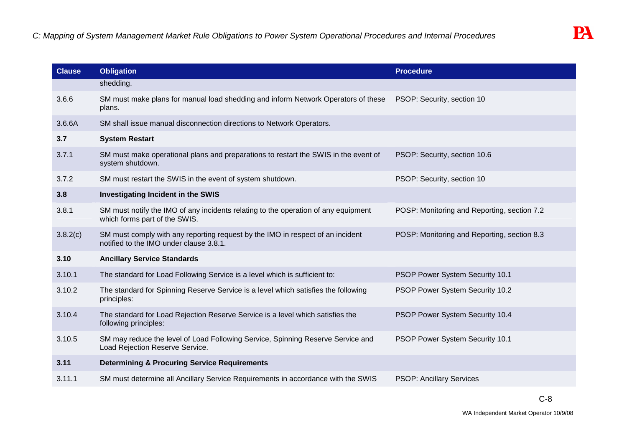| <b>Clause</b> | <b>Obligation</b>                                                                                                         | <b>Procedure</b>                            |
|---------------|---------------------------------------------------------------------------------------------------------------------------|---------------------------------------------|
|               | shedding.                                                                                                                 |                                             |
| 3.6.6         | SM must make plans for manual load shedding and inform Network Operators of these<br>plans.                               | PSOP: Security, section 10                  |
| 3.6.6A        | SM shall issue manual disconnection directions to Network Operators.                                                      |                                             |
| 3.7           | <b>System Restart</b>                                                                                                     |                                             |
| 3.7.1         | SM must make operational plans and preparations to restart the SWIS in the event of<br>system shutdown.                   | PSOP: Security, section 10.6                |
| 3.7.2         | SM must restart the SWIS in the event of system shutdown.                                                                 | PSOP: Security, section 10                  |
| 3.8           | Investigating Incident in the SWIS                                                                                        |                                             |
| 3.8.1         | SM must notify the IMO of any incidents relating to the operation of any equipment<br>which forms part of the SWIS.       | POSP: Monitoring and Reporting, section 7.2 |
| 3.8.2(c)      | SM must comply with any reporting request by the IMO in respect of an incident<br>notified to the IMO under clause 3.8.1. | POSP: Monitoring and Reporting, section 8.3 |
| 3.10          | <b>Ancillary Service Standards</b>                                                                                        |                                             |
| 3.10.1        | The standard for Load Following Service is a level which is sufficient to:                                                | PSOP Power System Security 10.1             |
| 3.10.2        | The standard for Spinning Reserve Service is a level which satisfies the following<br>principles:                         | PSOP Power System Security 10.2             |
| 3.10.4        | The standard for Load Rejection Reserve Service is a level which satisfies the<br>following principles:                   | PSOP Power System Security 10.4             |
| 3.10.5        | SM may reduce the level of Load Following Service, Spinning Reserve Service and<br>Load Rejection Reserve Service.        | PSOP Power System Security 10.1             |
| 3.11          | <b>Determining &amp; Procuring Service Requirements</b>                                                                   |                                             |
| 3.11.1        | SM must determine all Ancillary Service Requirements in accordance with the SWIS                                          | <b>PSOP: Ancillary Services</b>             |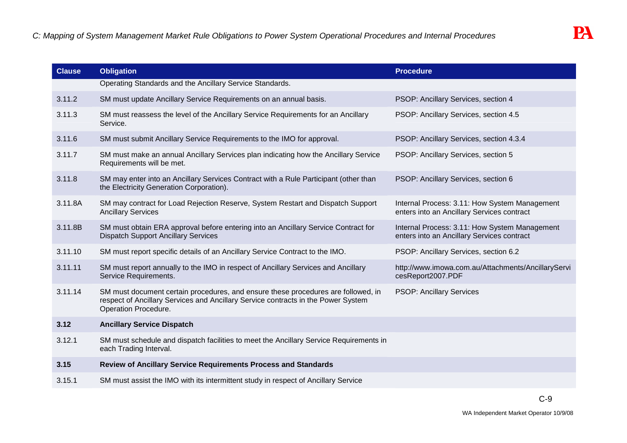| <b>Clause</b> | <b>Obligation</b>                                                                                                                                                                              | <b>Procedure</b>                                                                            |
|---------------|------------------------------------------------------------------------------------------------------------------------------------------------------------------------------------------------|---------------------------------------------------------------------------------------------|
|               | Operating Standards and the Ancillary Service Standards.                                                                                                                                       |                                                                                             |
| 3.11.2        | SM must update Ancillary Service Requirements on an annual basis.                                                                                                                              | PSOP: Ancillary Services, section 4                                                         |
| 3.11.3        | SM must reassess the level of the Ancillary Service Requirements for an Ancillary<br>Service.                                                                                                  | PSOP: Ancillary Services, section 4.5                                                       |
| 3.11.6        | SM must submit Ancillary Service Requirements to the IMO for approval.                                                                                                                         | PSOP: Ancillary Services, section 4.3.4                                                     |
| 3.11.7        | SM must make an annual Ancillary Services plan indicating how the Ancillary Service<br>Requirements will be met.                                                                               | PSOP: Ancillary Services, section 5                                                         |
| 3.11.8        | SM may enter into an Ancillary Services Contract with a Rule Participant (other than<br>the Electricity Generation Corporation).                                                               | PSOP: Ancillary Services, section 6                                                         |
| 3.11.8A       | SM may contract for Load Rejection Reserve, System Restart and Dispatch Support<br><b>Ancillary Services</b>                                                                                   | Internal Process: 3.11: How System Management<br>enters into an Ancillary Services contract |
| 3.11.8B       | SM must obtain ERA approval before entering into an Ancillary Service Contract for<br><b>Dispatch Support Ancillary Services</b>                                                               | Internal Process: 3.11: How System Management<br>enters into an Ancillary Services contract |
| 3.11.10       | SM must report specific details of an Ancillary Service Contract to the IMO.                                                                                                                   | PSOP: Ancillary Services, section 6.2                                                       |
| 3.11.11       | SM must report annually to the IMO in respect of Ancillary Services and Ancillary<br>Service Requirements.                                                                                     | http://www.imowa.com.au/Attachments/AncillaryServi<br>cesReport2007.PDF                     |
| 3.11.14       | SM must document certain procedures, and ensure these procedures are followed, in<br>respect of Ancillary Services and Ancillary Service contracts in the Power System<br>Operation Procedure. | <b>PSOP: Ancillary Services</b>                                                             |
| 3.12          | <b>Ancillary Service Dispatch</b>                                                                                                                                                              |                                                                                             |
| 3.12.1        | SM must schedule and dispatch facilities to meet the Ancillary Service Requirements in<br>each Trading Interval.                                                                               |                                                                                             |
| 3.15          | <b>Review of Ancillary Service Requirements Process and Standards</b>                                                                                                                          |                                                                                             |
| 3.15.1        | SM must assist the IMO with its intermittent study in respect of Ancillary Service                                                                                                             |                                                                                             |
|               |                                                                                                                                                                                                |                                                                                             |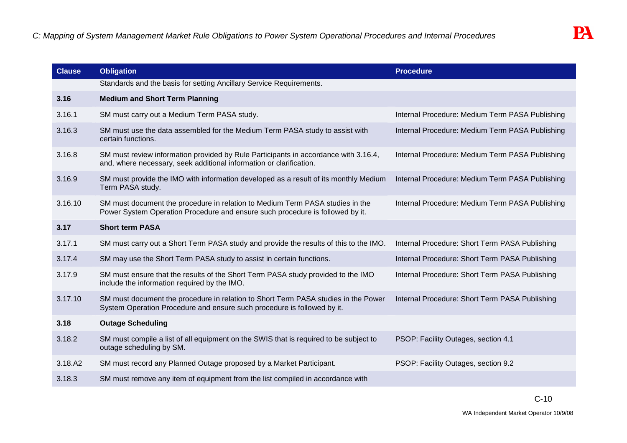| <b>Clause</b> | <b>Obligation</b>                                                                                                                                              | <b>Procedure</b>                                |
|---------------|----------------------------------------------------------------------------------------------------------------------------------------------------------------|-------------------------------------------------|
|               | Standards and the basis for setting Ancillary Service Requirements.                                                                                            |                                                 |
| 3.16          | <b>Medium and Short Term Planning</b>                                                                                                                          |                                                 |
| 3.16.1        | SM must carry out a Medium Term PASA study.                                                                                                                    | Internal Procedure: Medium Term PASA Publishing |
| 3.16.3        | SM must use the data assembled for the Medium Term PASA study to assist with<br>certain functions.                                                             | Internal Procedure: Medium Term PASA Publishing |
| 3.16.8        | SM must review information provided by Rule Participants in accordance with 3.16.4,<br>and, where necessary, seek additional information or clarification.     | Internal Procedure: Medium Term PASA Publishing |
| 3.16.9        | SM must provide the IMO with information developed as a result of its monthly Medium<br>Term PASA study.                                                       | Internal Procedure: Medium Term PASA Publishing |
| 3.16.10       | SM must document the procedure in relation to Medium Term PASA studies in the<br>Power System Operation Procedure and ensure such procedure is followed by it. | Internal Procedure: Medium Term PASA Publishing |
| 3.17          | <b>Short term PASA</b>                                                                                                                                         |                                                 |
| 3.17.1        | SM must carry out a Short Term PASA study and provide the results of this to the IMO.                                                                          | Internal Procedure: Short Term PASA Publishing  |
| 3.17.4        | SM may use the Short Term PASA study to assist in certain functions.                                                                                           | Internal Procedure: Short Term PASA Publishing  |
| 3.17.9        | SM must ensure that the results of the Short Term PASA study provided to the IMO<br>include the information required by the IMO.                               | Internal Procedure: Short Term PASA Publishing  |
| 3.17.10       | SM must document the procedure in relation to Short Term PASA studies in the Power<br>System Operation Procedure and ensure such procedure is followed by it.  | Internal Procedure: Short Term PASA Publishing  |
| 3.18          | <b>Outage Scheduling</b>                                                                                                                                       |                                                 |
| 3.18.2        | SM must compile a list of all equipment on the SWIS that is required to be subject to<br>outage scheduling by SM.                                              | PSOP: Facility Outages, section 4.1             |
| 3.18.A2       | SM must record any Planned Outage proposed by a Market Participant.                                                                                            | PSOP: Facility Outages, section 9.2             |
| 3.18.3        | SM must remove any item of equipment from the list compiled in accordance with                                                                                 |                                                 |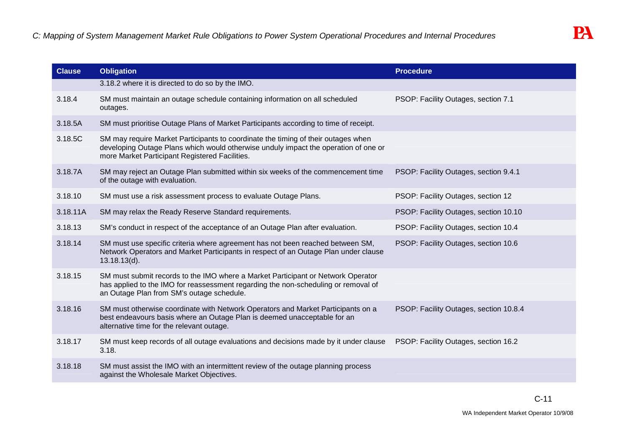| <b>Clause</b> | <b>Obligation</b>                                                                                                                                                                                                          | <b>Procedure</b>                       |
|---------------|----------------------------------------------------------------------------------------------------------------------------------------------------------------------------------------------------------------------------|----------------------------------------|
|               | 3.18.2 where it is directed to do so by the IMO.                                                                                                                                                                           |                                        |
| 3.18.4        | SM must maintain an outage schedule containing information on all scheduled<br>outages.                                                                                                                                    | PSOP: Facility Outages, section 7.1    |
| 3.18.5A       | SM must prioritise Outage Plans of Market Participants according to time of receipt.                                                                                                                                       |                                        |
| 3.18.5C       | SM may require Market Participants to coordinate the timing of their outages when<br>developing Outage Plans which would otherwise unduly impact the operation of one or<br>more Market Participant Registered Facilities. |                                        |
| 3.18.7A       | SM may reject an Outage Plan submitted within six weeks of the commencement time<br>of the outage with evaluation.                                                                                                         | PSOP: Facility Outages, section 9.4.1  |
| 3.18.10       | SM must use a risk assessment process to evaluate Outage Plans.                                                                                                                                                            | PSOP: Facility Outages, section 12     |
| 3.18.11A      | SM may relax the Ready Reserve Standard requirements.                                                                                                                                                                      | PSOP: Facility Outages, section 10.10  |
| 3.18.13       | SM's conduct in respect of the acceptance of an Outage Plan after evaluation.                                                                                                                                              | PSOP: Facility Outages, section 10.4   |
| 3.18.14       | SM must use specific criteria where agreement has not been reached between SM,<br>Network Operators and Market Participants in respect of an Outage Plan under clause<br>$13.18.13(d)$ .                                   | PSOP: Facility Outages, section 10.6   |
| 3.18.15       | SM must submit records to the IMO where a Market Participant or Network Operator<br>has applied to the IMO for reassessment regarding the non-scheduling or removal of<br>an Outage Plan from SM's outage schedule.        |                                        |
| 3.18.16       | SM must otherwise coordinate with Network Operators and Market Participants on a<br>best endeavours basis where an Outage Plan is deemed unacceptable for an<br>alternative time for the relevant outage.                  | PSOP: Facility Outages, section 10.8.4 |
| 3.18.17       | SM must keep records of all outage evaluations and decisions made by it under clause<br>3.18.                                                                                                                              | PSOP: Facility Outages, section 16.2   |
| 3.18.18       | SM must assist the IMO with an intermittent review of the outage planning process<br>against the Wholesale Market Objectives.                                                                                              |                                        |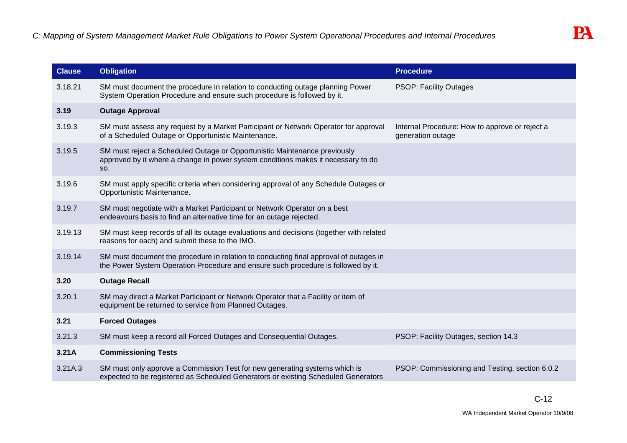| <b>Clause</b> | Obligation                                                                                                                                                                 | <b>Procedure</b>                                                    |
|---------------|----------------------------------------------------------------------------------------------------------------------------------------------------------------------------|---------------------------------------------------------------------|
| 3.18.21       | SM must document the procedure in relation to conducting outage planning Power<br>System Operation Procedure and ensure such procedure is followed by it.                  | <b>PSOP: Facility Outages</b>                                       |
| 3.19          | <b>Outage Approval</b>                                                                                                                                                     |                                                                     |
| 3.19.3        | SM must assess any request by a Market Participant or Network Operator for approval<br>of a Scheduled Outage or Opportunistic Maintenance.                                 | Internal Procedure: How to approve or reject a<br>generation outage |
| 3.19.5        | SM must reject a Scheduled Outage or Opportunistic Maintenance previously<br>approved by it where a change in power system conditions makes it necessary to do<br>SO.      |                                                                     |
| 3.19.6        | SM must apply specific criteria when considering approval of any Schedule Outages or<br>Opportunistic Maintenance.                                                         |                                                                     |
| 3.19.7        | SM must negotiate with a Market Participant or Network Operator on a best<br>endeavours basis to find an alternative time for an outage rejected.                          |                                                                     |
| 3.19.13       | SM must keep records of all its outage evaluations and decisions (together with related<br>reasons for each) and submit these to the IMO.                                  |                                                                     |
| 3.19.14       | SM must document the procedure in relation to conducting final approval of outages in<br>the Power System Operation Procedure and ensure such procedure is followed by it. |                                                                     |
| 3.20          | <b>Outage Recall</b>                                                                                                                                                       |                                                                     |
| 3.20.1        | SM may direct a Market Participant or Network Operator that a Facility or item of<br>equipment be returned to service from Planned Outages.                                |                                                                     |
| 3.21          | <b>Forced Outages</b>                                                                                                                                                      |                                                                     |
| 3.21.3        | SM must keep a record all Forced Outages and Consequential Outages.                                                                                                        | PSOP: Facility Outages, section 14.3                                |
| 3.21A         | <b>Commissioning Tests</b>                                                                                                                                                 |                                                                     |
| 3.21A.3       | SM must only approve a Commission Test for new generating systems which is<br>expected to be registered as Scheduled Generators or existing Scheduled Generators           | PSOP: Commissioning and Testing, section 6.0.2                      |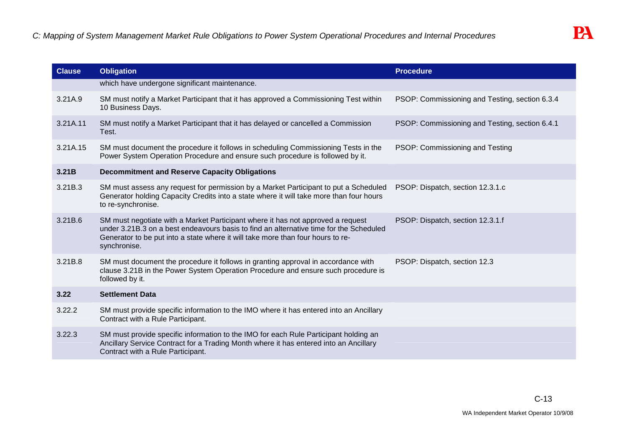| <b>Clause</b> | <b>Obligation</b>                                                                                                                                                                                                                                                            | <b>Procedure</b>                               |
|---------------|------------------------------------------------------------------------------------------------------------------------------------------------------------------------------------------------------------------------------------------------------------------------------|------------------------------------------------|
|               | which have undergone significant maintenance.                                                                                                                                                                                                                                |                                                |
| 3.21A.9       | SM must notify a Market Participant that it has approved a Commissioning Test within<br>10 Business Days.                                                                                                                                                                    | PSOP: Commissioning and Testing, section 6.3.4 |
| 3.21A.11      | SM must notify a Market Participant that it has delayed or cancelled a Commission<br>Test.                                                                                                                                                                                   | PSOP: Commissioning and Testing, section 6.4.1 |
| 3.21A.15      | SM must document the procedure it follows in scheduling Commissioning Tests in the<br>Power System Operation Procedure and ensure such procedure is followed by it.                                                                                                          | PSOP: Commissioning and Testing                |
| 3.21B         | <b>Decommitment and Reserve Capacity Obligations</b>                                                                                                                                                                                                                         |                                                |
| 3.21B.3       | SM must assess any request for permission by a Market Participant to put a Scheduled<br>Generator holding Capacity Credits into a state where it will take more than four hours<br>to re-synchronise.                                                                        | PSOP: Dispatch, section 12.3.1.c               |
| 3.21B.6       | SM must negotiate with a Market Participant where it has not approved a request<br>under 3.21B.3 on a best endeavours basis to find an alternative time for the Scheduled<br>Generator to be put into a state where it will take more than four hours to re-<br>synchronise. | PSOP: Dispatch, section 12.3.1.f               |
| 3.21B.8       | SM must document the procedure it follows in granting approval in accordance with<br>clause 3.21B in the Power System Operation Procedure and ensure such procedure is<br>followed by it.                                                                                    | PSOP: Dispatch, section 12.3                   |
| 3.22          | <b>Settlement Data</b>                                                                                                                                                                                                                                                       |                                                |
| 3.22.2        | SM must provide specific information to the IMO where it has entered into an Ancillary<br>Contract with a Rule Participant.                                                                                                                                                  |                                                |
| 3.22.3        | SM must provide specific information to the IMO for each Rule Participant holding an<br>Ancillary Service Contract for a Trading Month where it has entered into an Ancillary<br>Contract with a Rule Participant.                                                           |                                                |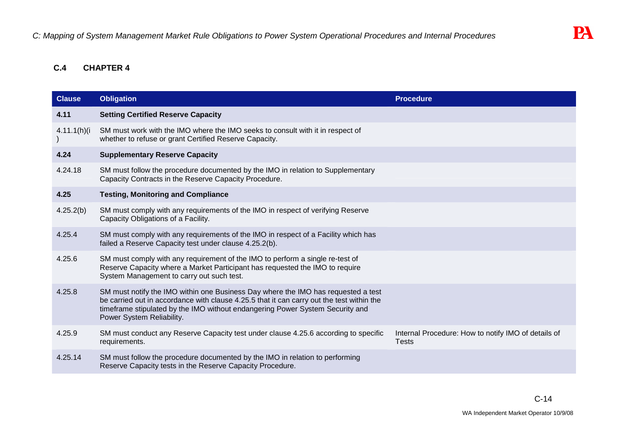# **C.4 CHAPTER 4**

| <b>Clause</b>  | <b>Obligation</b>                                                                                                                                                                                                                                                                            | <b>Procedure</b>                                                    |
|----------------|----------------------------------------------------------------------------------------------------------------------------------------------------------------------------------------------------------------------------------------------------------------------------------------------|---------------------------------------------------------------------|
| 4.11           | <b>Setting Certified Reserve Capacity</b>                                                                                                                                                                                                                                                    |                                                                     |
| $4.11.1(h)$ (i | SM must work with the IMO where the IMO seeks to consult with it in respect of<br>whether to refuse or grant Certified Reserve Capacity.                                                                                                                                                     |                                                                     |
| 4.24           | <b>Supplementary Reserve Capacity</b>                                                                                                                                                                                                                                                        |                                                                     |
| 4.24.18        | SM must follow the procedure documented by the IMO in relation to Supplementary<br>Capacity Contracts in the Reserve Capacity Procedure.                                                                                                                                                     |                                                                     |
| 4.25           | <b>Testing, Monitoring and Compliance</b>                                                                                                                                                                                                                                                    |                                                                     |
| 4.25.2(b)      | SM must comply with any requirements of the IMO in respect of verifying Reserve<br>Capacity Obligations of a Facility.                                                                                                                                                                       |                                                                     |
| 4.25.4         | SM must comply with any requirements of the IMO in respect of a Facility which has<br>failed a Reserve Capacity test under clause 4.25.2(b).                                                                                                                                                 |                                                                     |
| 4.25.6         | SM must comply with any requirement of the IMO to perform a single re-test of<br>Reserve Capacity where a Market Participant has requested the IMO to require<br>System Management to carry out such test.                                                                                   |                                                                     |
| 4.25.8         | SM must notify the IMO within one Business Day where the IMO has requested a test<br>be carried out in accordance with clause 4.25.5 that it can carry out the test within the<br>timeframe stipulated by the IMO without endangering Power System Security and<br>Power System Reliability. |                                                                     |
| 4.25.9         | SM must conduct any Reserve Capacity test under clause 4.25.6 according to specific<br>requirements.                                                                                                                                                                                         | Internal Procedure: How to notify IMO of details of<br><b>Tests</b> |
| 4.25.14        | SM must follow the procedure documented by the IMO in relation to performing<br>Reserve Capacity tests in the Reserve Capacity Procedure.                                                                                                                                                    |                                                                     |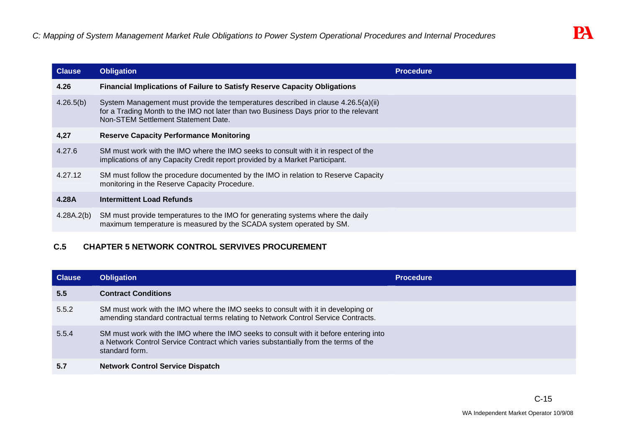| <b>Clause</b> | <b>Obligation</b>                                                                                                                                                                                                 | <b>Procedure</b> |
|---------------|-------------------------------------------------------------------------------------------------------------------------------------------------------------------------------------------------------------------|------------------|
| 4.26          | <b>Financial Implications of Failure to Satisfy Reserve Capacity Obligations</b>                                                                                                                                  |                  |
| 4.26.5(b)     | System Management must provide the temperatures described in clause 4.26.5(a)(ii)<br>for a Trading Month to the IMO not later than two Business Days prior to the relevant<br>Non-STEM Settlement Statement Date. |                  |
| 4,27          | <b>Reserve Capacity Performance Monitoring</b>                                                                                                                                                                    |                  |
| 4.27.6        | SM must work with the IMO where the IMO seeks to consult with it in respect of the<br>implications of any Capacity Credit report provided by a Market Participant.                                                |                  |
| 4.27.12       | SM must follow the procedure documented by the IMO in relation to Reserve Capacity<br>monitoring in the Reserve Capacity Procedure.                                                                               |                  |
| 4.28A         | <b>Intermittent Load Refunds</b>                                                                                                                                                                                  |                  |
| 4.28A.2(b)    | SM must provide temperatures to the IMO for generating systems where the daily<br>maximum temperature is measured by the SCADA system operated by SM.                                                             |                  |

# **C.5 CHAPTER 5 NETWORK CONTROL SERVIVES PROCUREMENT**

| <b>Clause</b> | <b>Obligation</b>                                                                                                                                                                              | <b>Procedure</b> |
|---------------|------------------------------------------------------------------------------------------------------------------------------------------------------------------------------------------------|------------------|
| 5.5           | <b>Contract Conditions</b>                                                                                                                                                                     |                  |
| 5.5.2         | SM must work with the IMO where the IMO seeks to consult with it in developing or<br>amending standard contractual terms relating to Network Control Service Contracts.                        |                  |
| 5.5.4         | SM must work with the IMO where the IMO seeks to consult with it before entering into<br>a Network Control Service Contract which varies substantially from the terms of the<br>standard form. |                  |
| 5.7           | <b>Network Control Service Dispatch</b>                                                                                                                                                        |                  |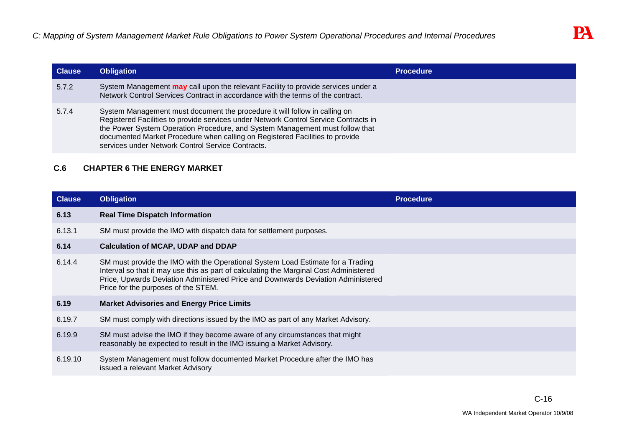| <b>Clause</b> | <b>Obligation</b>                                                                                                                                                                                                                                                                                                                                                                       | <b>Procedure</b> |
|---------------|-----------------------------------------------------------------------------------------------------------------------------------------------------------------------------------------------------------------------------------------------------------------------------------------------------------------------------------------------------------------------------------------|------------------|
| 5.7.2         | System Management <b>may</b> call upon the relevant Facility to provide services under a<br>Network Control Services Contract in accordance with the terms of the contract.                                                                                                                                                                                                             |                  |
| 5.7.4         | System Management must document the procedure it will follow in calling on<br>Registered Facilities to provide services under Network Control Service Contracts in<br>the Power System Operation Procedure, and System Management must follow that<br>documented Market Procedure when calling on Registered Facilities to provide<br>services under Network Control Service Contracts. |                  |

# **C.6 CHAPTER 6 THE ENERGY MARKET**

| <b>Clause</b> | <b>Obligation</b>                                                                                                                                                                                                                                                                                    | <b>Procedure</b> |
|---------------|------------------------------------------------------------------------------------------------------------------------------------------------------------------------------------------------------------------------------------------------------------------------------------------------------|------------------|
| 6.13          | <b>Real Time Dispatch Information</b>                                                                                                                                                                                                                                                                |                  |
| 6.13.1        | SM must provide the IMO with dispatch data for settlement purposes.                                                                                                                                                                                                                                  |                  |
| 6.14          | <b>Calculation of MCAP, UDAP and DDAP</b>                                                                                                                                                                                                                                                            |                  |
| 6.14.4        | SM must provide the IMO with the Operational System Load Estimate for a Trading<br>Interval so that it may use this as part of calculating the Marginal Cost Administered<br>Price, Upwards Deviation Administered Price and Downwards Deviation Administered<br>Price for the purposes of the STEM. |                  |
| 6.19          | <b>Market Advisories and Energy Price Limits</b>                                                                                                                                                                                                                                                     |                  |
| 6.19.7        | SM must comply with directions issued by the IMO as part of any Market Advisory.                                                                                                                                                                                                                     |                  |
| 6.19.9        | SM must advise the IMO if they become aware of any circumstances that might<br>reasonably be expected to result in the IMO issuing a Market Advisory.                                                                                                                                                |                  |
| 6.19.10       | System Management must follow documented Market Procedure after the IMO has<br>issued a relevant Market Advisory                                                                                                                                                                                     |                  |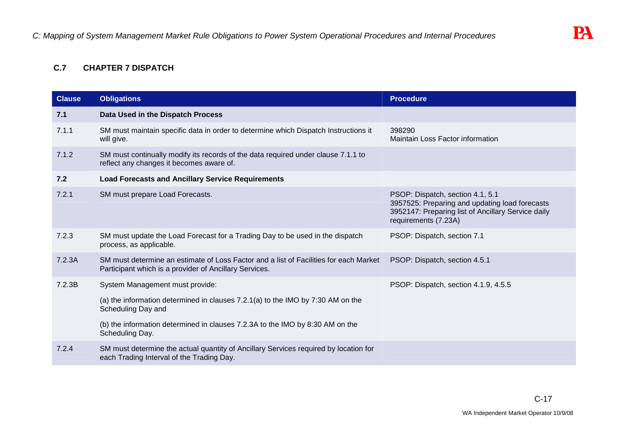# **C.7 CHAPTER 7 DISPATCH**

| <b>Clause</b> | <b>Obligations</b>                                                                                                                              | <b>Procedure</b>                                                                                                                                                 |
|---------------|-------------------------------------------------------------------------------------------------------------------------------------------------|------------------------------------------------------------------------------------------------------------------------------------------------------------------|
| 7.1           | Data Used in the Dispatch Process                                                                                                               |                                                                                                                                                                  |
| 7.1.1         | SM must maintain specific data in order to determine which Dispatch Instructions it<br>will give.                                               | 398290<br>Maintain Loss Factor information                                                                                                                       |
| 7.1.2         | SM must continually modify its records of the data required under clause 7.1.1 to<br>reflect any changes it becomes aware of.                   |                                                                                                                                                                  |
| 7.2           | <b>Load Forecasts and Ancillary Service Requirements</b>                                                                                        |                                                                                                                                                                  |
| 7.2.1         | SM must prepare Load Forecasts.                                                                                                                 | PSOP: Dispatch, section 4.1, 5.1<br>3957525: Preparing and updating load forecasts<br>3952147: Preparing list of Ancillary Service daily<br>requirements (7.23A) |
| 7.2.3         | SM must update the Load Forecast for a Trading Day to be used in the dispatch<br>process, as applicable.                                        | PSOP: Dispatch, section 7.1                                                                                                                                      |
| 7.2.3A        | SM must determine an estimate of Loss Factor and a list of Facilities for each Market<br>Participant which is a provider of Ancillary Services. | PSOP: Dispatch, section 4.5.1                                                                                                                                    |
| 7.2.3B        | System Management must provide:                                                                                                                 | PSOP: Dispatch, section 4.1.9, 4.5.5                                                                                                                             |
|               | (a) the information determined in clauses 7.2.1(a) to the IMO by 7:30 AM on the<br>Scheduling Day and                                           |                                                                                                                                                                  |
|               | (b) the information determined in clauses 7.2.3A to the IMO by 8:30 AM on the<br>Scheduling Day.                                                |                                                                                                                                                                  |
| 7.2.4         | SM must determine the actual quantity of Ancillary Services required by location for<br>each Trading Interval of the Trading Day.               |                                                                                                                                                                  |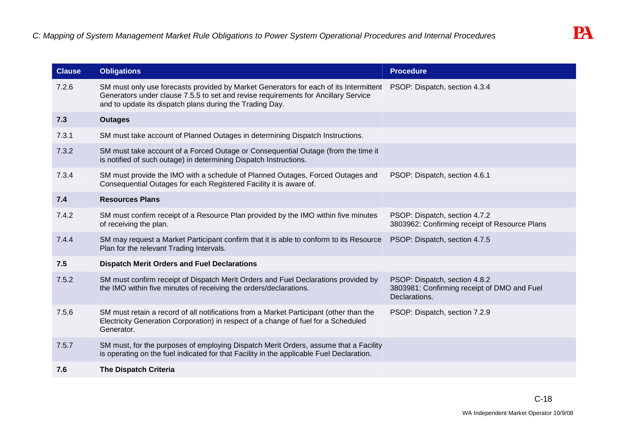| <b>Clause</b> | <b>Obligations</b>                                                                                                                                                                                                                      | <b>Procedure</b>                                                                              |
|---------------|-----------------------------------------------------------------------------------------------------------------------------------------------------------------------------------------------------------------------------------------|-----------------------------------------------------------------------------------------------|
| 7.2.6         | SM must only use forecasts provided by Market Generators for each of its Intermittent<br>Generators under clause 7.5.5 to set and revise requirements for Ancillary Service<br>and to update its dispatch plans during the Trading Day. | PSOP: Dispatch, section 4.3.4                                                                 |
| 7.3           | <b>Outages</b>                                                                                                                                                                                                                          |                                                                                               |
| 7.3.1         | SM must take account of Planned Outages in determining Dispatch Instructions.                                                                                                                                                           |                                                                                               |
| 7.3.2         | SM must take account of a Forced Outage or Consequential Outage (from the time it<br>is notified of such outage) in determining Dispatch Instructions.                                                                                  |                                                                                               |
| 7.3.4         | SM must provide the IMO with a schedule of Planned Outages, Forced Outages and<br>Consequential Outages for each Registered Facility it is aware of.                                                                                    | PSOP: Dispatch, section 4.6.1                                                                 |
| 7.4           | <b>Resources Plans</b>                                                                                                                                                                                                                  |                                                                                               |
| 7.4.2         | SM must confirm receipt of a Resource Plan provided by the IMO within five minutes<br>of receiving the plan.                                                                                                                            | PSOP: Dispatch, section 4.7.2<br>3803962: Confirming receipt of Resource Plans                |
| 7.4.4         | SM may request a Market Participant confirm that it is able to conform to its Resource<br>Plan for the relevant Trading Intervals.                                                                                                      | PSOP: Dispatch, section 4.7.5                                                                 |
| 7.5           | <b>Dispatch Merit Orders and Fuel Declarations</b>                                                                                                                                                                                      |                                                                                               |
| 7.5.2         | SM must confirm receipt of Dispatch Merit Orders and Fuel Declarations provided by<br>the IMO within five minutes of receiving the orders/declarations.                                                                                 | PSOP: Dispatch, section 4.8.2<br>3803981: Confirming receipt of DMO and Fuel<br>Declarations. |
| 7.5.6         | SM must retain a record of all notifications from a Market Participant (other than the<br>Electricity Generation Corporation) in respect of a change of fuel for a Scheduled<br>Generator.                                              | PSOP: Dispatch, section 7.2.9                                                                 |
| 7.5.7         | SM must, for the purposes of employing Dispatch Merit Orders, assume that a Facility<br>is operating on the fuel indicated for that Facility in the applicable Fuel Declaration.                                                        |                                                                                               |
| 7.6           | <b>The Dispatch Criteria</b>                                                                                                                                                                                                            |                                                                                               |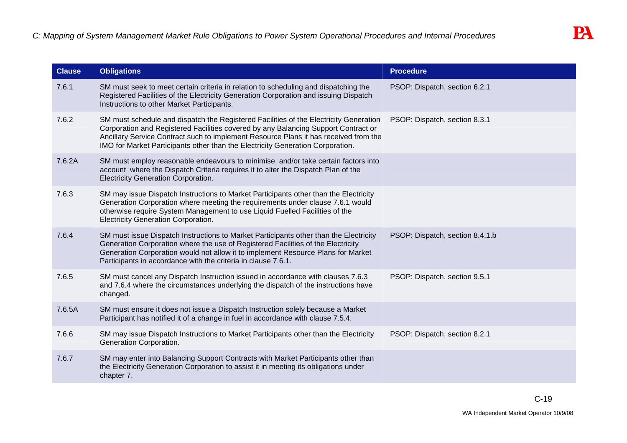| <b>Clause</b> | <b>Obligations</b>                                                                                                                                                                                                                                                                                                                                    | <b>Procedure</b>                |
|---------------|-------------------------------------------------------------------------------------------------------------------------------------------------------------------------------------------------------------------------------------------------------------------------------------------------------------------------------------------------------|---------------------------------|
| 7.6.1         | SM must seek to meet certain criteria in relation to scheduling and dispatching the<br>Registered Facilities of the Electricity Generation Corporation and issuing Dispatch<br>Instructions to other Market Participants.                                                                                                                             | PSOP: Dispatch, section 6.2.1   |
| 7.6.2         | SM must schedule and dispatch the Registered Facilities of the Electricity Generation<br>Corporation and Registered Facilities covered by any Balancing Support Contract or<br>Ancillary Service Contract such to implement Resource Plans it has received from the<br>IMO for Market Participants other than the Electricity Generation Corporation. | PSOP: Dispatch, section 8.3.1   |
| 7.6.2A        | SM must employ reasonable endeavours to minimise, and/or take certain factors into<br>account where the Dispatch Criteria requires it to alter the Dispatch Plan of the<br><b>Electricity Generation Corporation.</b>                                                                                                                                 |                                 |
| 7.6.3         | SM may issue Dispatch Instructions to Market Participants other than the Electricity<br>Generation Corporation where meeting the requirements under clause 7.6.1 would<br>otherwise require System Management to use Liquid Fuelled Facilities of the<br><b>Electricity Generation Corporation.</b>                                                   |                                 |
| 7.6.4         | SM must issue Dispatch Instructions to Market Participants other than the Electricity<br>Generation Corporation where the use of Registered Facilities of the Electricity<br>Generation Corporation would not allow it to implement Resource Plans for Market<br>Participants in accordance with the criteria in clause 7.6.1.                        | PSOP: Dispatch, section 8.4.1.b |
| 7.6.5         | SM must cancel any Dispatch Instruction issued in accordance with clauses 7.6.3<br>and 7.6.4 where the circumstances underlying the dispatch of the instructions have<br>changed.                                                                                                                                                                     | PSOP: Dispatch, section 9.5.1   |
| 7.6.5A        | SM must ensure it does not issue a Dispatch Instruction solely because a Market<br>Participant has notified it of a change in fuel in accordance with clause 7.5.4.                                                                                                                                                                                   |                                 |
| 7.6.6         | SM may issue Dispatch Instructions to Market Participants other than the Electricity<br>Generation Corporation.                                                                                                                                                                                                                                       | PSOP: Dispatch, section 8.2.1   |
| 7.6.7         | SM may enter into Balancing Support Contracts with Market Participants other than<br>the Electricity Generation Corporation to assist it in meeting its obligations under<br>chapter 7.                                                                                                                                                               |                                 |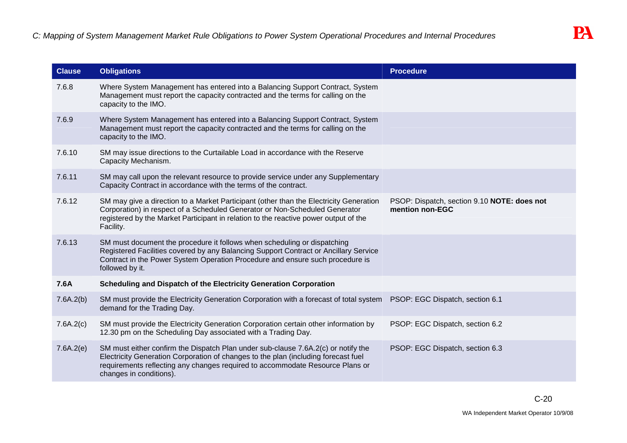| <b>Clause</b> | <b>Obligations</b>                                                                                                                                                                                                                                                                  | <b>Procedure</b>                                               |
|---------------|-------------------------------------------------------------------------------------------------------------------------------------------------------------------------------------------------------------------------------------------------------------------------------------|----------------------------------------------------------------|
| 7.6.8         | Where System Management has entered into a Balancing Support Contract, System<br>Management must report the capacity contracted and the terms for calling on the<br>capacity to the IMO.                                                                                            |                                                                |
| 7.6.9         | Where System Management has entered into a Balancing Support Contract, System<br>Management must report the capacity contracted and the terms for calling on the<br>capacity to the IMO.                                                                                            |                                                                |
| 7.6.10        | SM may issue directions to the Curtailable Load in accordance with the Reserve<br>Capacity Mechanism.                                                                                                                                                                               |                                                                |
| 7.6.11        | SM may call upon the relevant resource to provide service under any Supplementary<br>Capacity Contract in accordance with the terms of the contract.                                                                                                                                |                                                                |
| 7.6.12        | SM may give a direction to a Market Participant (other than the Electricity Generation<br>Corporation) in respect of a Scheduled Generator or Non-Scheduled Generator<br>registered by the Market Participant in relation to the reactive power output of the<br>Facility.          | PSOP: Dispatch, section 9.10 NOTE: does not<br>mention non-EGC |
| 7.6.13        | SM must document the procedure it follows when scheduling or dispatching<br>Registered Facilities covered by any Balancing Support Contract or Ancillary Service<br>Contract in the Power System Operation Procedure and ensure such procedure is<br>followed by it.                |                                                                |
| 7.6A          | Scheduling and Dispatch of the Electricity Generation Corporation                                                                                                                                                                                                                   |                                                                |
| 7.6A.2(b)     | SM must provide the Electricity Generation Corporation with a forecast of total system PSOP: EGC Dispatch, section 6.1<br>demand for the Trading Day.                                                                                                                               |                                                                |
| 7.6A.2(c)     | SM must provide the Electricity Generation Corporation certain other information by<br>12.30 pm on the Scheduling Day associated with a Trading Day.                                                                                                                                | PSOP: EGC Dispatch, section 6.2                                |
| 7.6A.2(e)     | SM must either confirm the Dispatch Plan under sub-clause 7.6A.2(c) or notify the<br>Electricity Generation Corporation of changes to the plan (including forecast fuel<br>requirements reflecting any changes required to accommodate Resource Plans or<br>changes in conditions). | PSOP: EGC Dispatch, section 6.3                                |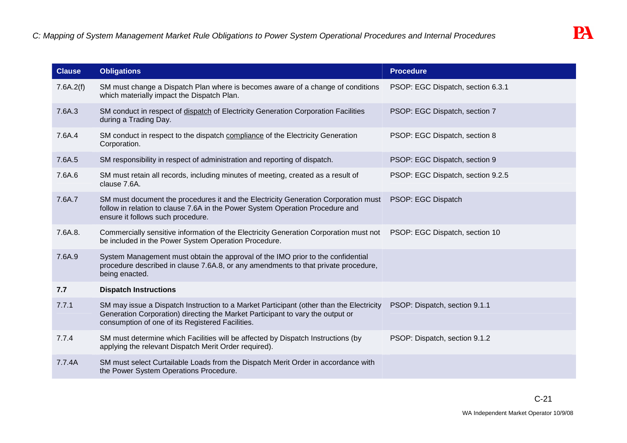| <b>Clause</b> | <b>Obligations</b>                                                                                                                                                                                                            | <b>Procedure</b>                  |
|---------------|-------------------------------------------------------------------------------------------------------------------------------------------------------------------------------------------------------------------------------|-----------------------------------|
| 7.6A.2(f)     | SM must change a Dispatch Plan where is becomes aware of a change of conditions<br>which materially impact the Dispatch Plan.                                                                                                 | PSOP: EGC Dispatch, section 6.3.1 |
| 7.6A.3        | SM conduct in respect of dispatch of Electricity Generation Corporation Facilities<br>during a Trading Day.                                                                                                                   | PSOP: EGC Dispatch, section 7     |
| 7.6A.4        | SM conduct in respect to the dispatch compliance of the Electricity Generation<br>Corporation.                                                                                                                                | PSOP: EGC Dispatch, section 8     |
| 7.6A.5        | SM responsibility in respect of administration and reporting of dispatch.                                                                                                                                                     | PSOP: EGC Dispatch, section 9     |
| 7.6A.6        | SM must retain all records, including minutes of meeting, created as a result of<br>clause 7.6A.                                                                                                                              | PSOP: EGC Dispatch, section 9.2.5 |
| 7.6A.7        | SM must document the procedures it and the Electricity Generation Corporation must<br>follow in relation to clause 7.6A in the Power System Operation Procedure and<br>ensure it follows such procedure.                      | PSOP: EGC Dispatch                |
| 7.6A.8.       | Commercially sensitive information of the Electricity Generation Corporation must not<br>be included in the Power System Operation Procedure.                                                                                 | PSOP: EGC Dispatch, section 10    |
| 7.6A.9        | System Management must obtain the approval of the IMO prior to the confidential<br>procedure described in clause 7.6A.8, or any amendments to that private procedure,<br>being enacted.                                       |                                   |
| 7.7           | <b>Dispatch Instructions</b>                                                                                                                                                                                                  |                                   |
| 7.7.1         | SM may issue a Dispatch Instruction to a Market Participant (other than the Electricity<br>Generation Corporation) directing the Market Participant to vary the output or<br>consumption of one of its Registered Facilities. | PSOP: Dispatch, section 9.1.1     |
| 7.7.4         | SM must determine which Facilities will be affected by Dispatch Instructions (by<br>applying the relevant Dispatch Merit Order required).                                                                                     | PSOP: Dispatch, section 9.1.2     |
| 7.7.4A        | SM must select Curtailable Loads from the Dispatch Merit Order in accordance with<br>the Power System Operations Procedure.                                                                                                   |                                   |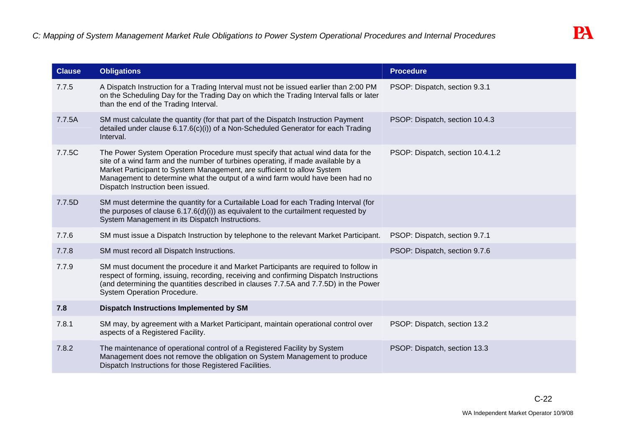| <b>Clause</b> | <b>Obligations</b>                                                                                                                                                                                                                                                                                                                                                   | <b>Procedure</b>                 |
|---------------|----------------------------------------------------------------------------------------------------------------------------------------------------------------------------------------------------------------------------------------------------------------------------------------------------------------------------------------------------------------------|----------------------------------|
| 7.7.5         | A Dispatch Instruction for a Trading Interval must not be issued earlier than 2:00 PM<br>on the Scheduling Day for the Trading Day on which the Trading Interval falls or later<br>than the end of the Trading Interval.                                                                                                                                             | PSOP: Dispatch, section 9.3.1    |
| 7.7.5A        | SM must calculate the quantity (for that part of the Dispatch Instruction Payment<br>detailed under clause $6.17.6(c)(i)$ of a Non-Scheduled Generator for each Trading<br>Interval.                                                                                                                                                                                 | PSOP: Dispatch, section 10.4.3   |
| 7.7.5C        | The Power System Operation Procedure must specify that actual wind data for the<br>site of a wind farm and the number of turbines operating, if made available by a<br>Market Participant to System Management, are sufficient to allow System<br>Management to determine what the output of a wind farm would have been had no<br>Dispatch Instruction been issued. | PSOP: Dispatch, section 10.4.1.2 |
| 7.7.5D        | SM must determine the quantity for a Curtailable Load for each Trading Interval (for<br>the purposes of clause $6.17.6(d)(i)$ as equivalent to the curtailment requested by<br>System Management in its Dispatch Instructions.                                                                                                                                       |                                  |
| 7.7.6         | SM must issue a Dispatch Instruction by telephone to the relevant Market Participant.                                                                                                                                                                                                                                                                                | PSOP: Dispatch, section 9.7.1    |
| 7.7.8         | SM must record all Dispatch Instructions.                                                                                                                                                                                                                                                                                                                            | PSOP: Dispatch, section 9.7.6    |
| 7.7.9         | SM must document the procedure it and Market Participants are required to follow in<br>respect of forming, issuing, recording, receiving and confirming Dispatch Instructions<br>(and determining the quantities described in clauses 7.7.5A and 7.7.5D) in the Power<br>System Operation Procedure.                                                                 |                                  |
| 7.8           | <b>Dispatch Instructions Implemented by SM</b>                                                                                                                                                                                                                                                                                                                       |                                  |
| 7.8.1         | SM may, by agreement with a Market Participant, maintain operational control over<br>aspects of a Registered Facility.                                                                                                                                                                                                                                               | PSOP: Dispatch, section 13.2     |
| 7.8.2         | The maintenance of operational control of a Registered Facility by System<br>Management does not remove the obligation on System Management to produce<br>Dispatch Instructions for those Registered Facilities.                                                                                                                                                     | PSOP: Dispatch, section 13.3     |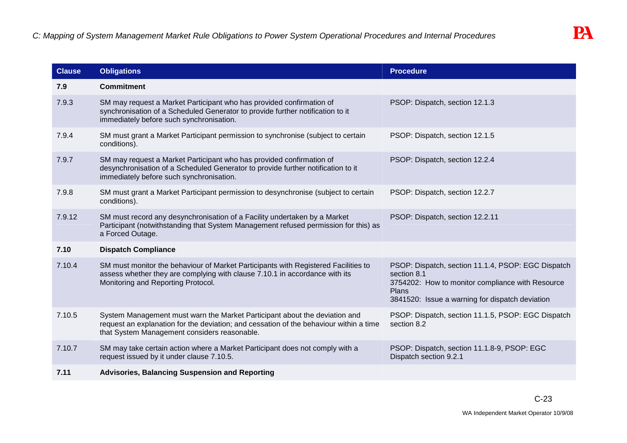| <b>Clause</b> | <b>Obligations</b>                                                                                                                                                                                                   | <b>Procedure</b>                                                                                                                                                                         |
|---------------|----------------------------------------------------------------------------------------------------------------------------------------------------------------------------------------------------------------------|------------------------------------------------------------------------------------------------------------------------------------------------------------------------------------------|
| 7.9           | <b>Commitment</b>                                                                                                                                                                                                    |                                                                                                                                                                                          |
| 7.9.3         | SM may request a Market Participant who has provided confirmation of<br>synchronisation of a Scheduled Generator to provide further notification to it<br>immediately before such synchronisation.                   | PSOP: Dispatch, section 12.1.3                                                                                                                                                           |
| 7.9.4         | SM must grant a Market Participant permission to synchronise (subject to certain<br>conditions).                                                                                                                     | PSOP: Dispatch, section 12.1.5                                                                                                                                                           |
| 7.9.7         | SM may request a Market Participant who has provided confirmation of<br>desynchronisation of a Scheduled Generator to provide further notification to it<br>immediately before such synchronisation.                 | PSOP: Dispatch, section 12.2.4                                                                                                                                                           |
| 7.9.8         | SM must grant a Market Participant permission to desynchronise (subject to certain<br>conditions).                                                                                                                   | PSOP: Dispatch, section 12.2.7                                                                                                                                                           |
| 7.9.12        | SM must record any desynchronisation of a Facility undertaken by a Market<br>Participant (notwithstanding that System Management refused permission for this) as<br>a Forced Outage.                                 | PSOP: Dispatch, section 12.2.11                                                                                                                                                          |
| 7.10          | <b>Dispatch Compliance</b>                                                                                                                                                                                           |                                                                                                                                                                                          |
| 7.10.4        | SM must monitor the behaviour of Market Participants with Registered Facilities to<br>assess whether they are complying with clause 7.10.1 in accordance with its<br>Monitoring and Reporting Protocol.              | PSOP: Dispatch, section 11.1.4, PSOP: EGC Dispatch<br>section 8.1<br>3754202: How to monitor compliance with Resource<br><b>Plans</b><br>3841520: Issue a warning for dispatch deviation |
| 7.10.5        | System Management must warn the Market Participant about the deviation and<br>request an explanation for the deviation; and cessation of the behaviour within a time<br>that System Management considers reasonable. | PSOP: Dispatch, section 11.1.5, PSOP: EGC Dispatch<br>section 8.2                                                                                                                        |
| 7.10.7        | SM may take certain action where a Market Participant does not comply with a<br>request issued by it under clause 7.10.5.                                                                                            | PSOP: Dispatch, section 11.1.8-9, PSOP: EGC<br>Dispatch section 9.2.1                                                                                                                    |
| 7.11          | <b>Advisories, Balancing Suspension and Reporting</b>                                                                                                                                                                |                                                                                                                                                                                          |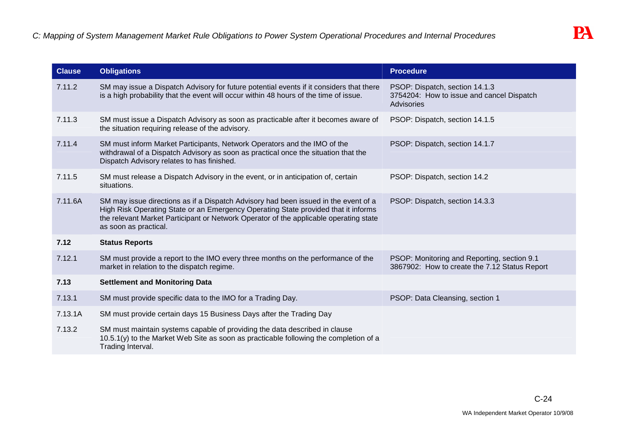| <b>Clause</b> | <b>Obligations</b>                                                                                                                                                                                                                                                                          | <b>Procedure</b>                                                                                 |
|---------------|---------------------------------------------------------------------------------------------------------------------------------------------------------------------------------------------------------------------------------------------------------------------------------------------|--------------------------------------------------------------------------------------------------|
| 7.11.2        | SM may issue a Dispatch Advisory for future potential events if it considers that there<br>is a high probability that the event will occur within 48 hours of the time of issue.                                                                                                            | PSOP: Dispatch, section 14.1.3<br>3754204: How to issue and cancel Dispatch<br><b>Advisories</b> |
| 7.11.3        | SM must issue a Dispatch Advisory as soon as practicable after it becomes aware of<br>the situation requiring release of the advisory.                                                                                                                                                      | PSOP: Dispatch, section 14.1.5                                                                   |
| 7.11.4        | SM must inform Market Participants, Network Operators and the IMO of the<br>withdrawal of a Dispatch Advisory as soon as practical once the situation that the<br>Dispatch Advisory relates to has finished.                                                                                | PSOP: Dispatch, section 14.1.7                                                                   |
| 7.11.5        | SM must release a Dispatch Advisory in the event, or in anticipation of, certain<br>situations.                                                                                                                                                                                             | PSOP: Dispatch, section 14.2                                                                     |
| 7.11.6A       | SM may issue directions as if a Dispatch Advisory had been issued in the event of a<br>High Risk Operating State or an Emergency Operating State provided that it informs<br>the relevant Market Participant or Network Operator of the applicable operating state<br>as soon as practical. | PSOP: Dispatch, section 14.3.3                                                                   |
| 7.12          | <b>Status Reports</b>                                                                                                                                                                                                                                                                       |                                                                                                  |
| 7.12.1        | SM must provide a report to the IMO every three months on the performance of the<br>market in relation to the dispatch regime.                                                                                                                                                              | PSOP: Monitoring and Reporting, section 9.1<br>3867902: How to create the 7.12 Status Report     |
| 7.13          | <b>Settlement and Monitoring Data</b>                                                                                                                                                                                                                                                       |                                                                                                  |
| 7.13.1        | SM must provide specific data to the IMO for a Trading Day.                                                                                                                                                                                                                                 | PSOP: Data Cleansing, section 1                                                                  |
| 7.13.1A       | SM must provide certain days 15 Business Days after the Trading Day                                                                                                                                                                                                                         |                                                                                                  |
| 7.13.2        | SM must maintain systems capable of providing the data described in clause<br>10.5.1(y) to the Market Web Site as soon as practicable following the completion of a<br>Trading Interval.                                                                                                    |                                                                                                  |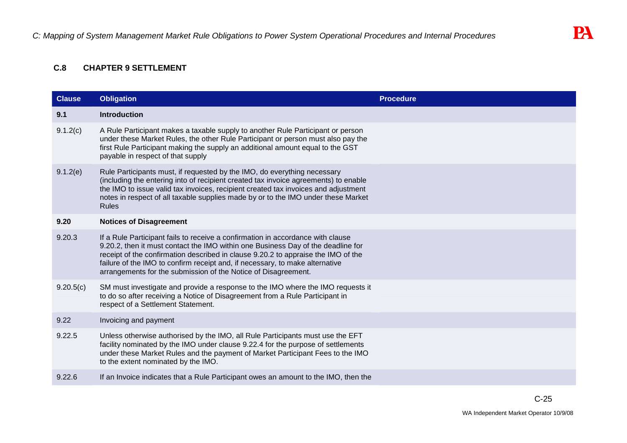# **C.8 CHAPTER 9 SETTLEMENT**

| <b>Clause</b> | <b>Obligation</b>                                                                                                                                                                                                                                                                                                                                                                                          | <b>Procedure</b> |
|---------------|------------------------------------------------------------------------------------------------------------------------------------------------------------------------------------------------------------------------------------------------------------------------------------------------------------------------------------------------------------------------------------------------------------|------------------|
| 9.1           | <b>Introduction</b>                                                                                                                                                                                                                                                                                                                                                                                        |                  |
| 9.1.2(c)      | A Rule Participant makes a taxable supply to another Rule Participant or person<br>under these Market Rules, the other Rule Participant or person must also pay the<br>first Rule Participant making the supply an additional amount equal to the GST<br>payable in respect of that supply                                                                                                                 |                  |
| 9.1.2(e)      | Rule Participants must, if requested by the IMO, do everything necessary<br>(including the entering into of recipient created tax invoice agreements) to enable<br>the IMO to issue valid tax invoices, recipient created tax invoices and adjustment<br>notes in respect of all taxable supplies made by or to the IMO under these Market<br><b>Rules</b>                                                 |                  |
| 9.20          | <b>Notices of Disagreement</b>                                                                                                                                                                                                                                                                                                                                                                             |                  |
| 9.20.3        | If a Rule Participant fails to receive a confirmation in accordance with clause<br>9.20.2, then it must contact the IMO within one Business Day of the deadline for<br>receipt of the confirmation described in clause 9.20.2 to appraise the IMO of the<br>failure of the IMO to confirm receipt and, if necessary, to make alternative<br>arrangements for the submission of the Notice of Disagreement. |                  |
| 9.20.5(c)     | SM must investigate and provide a response to the IMO where the IMO requests it<br>to do so after receiving a Notice of Disagreement from a Rule Participant in<br>respect of a Settlement Statement.                                                                                                                                                                                                      |                  |
| 9.22          | Invoicing and payment                                                                                                                                                                                                                                                                                                                                                                                      |                  |
| 9.22.5        | Unless otherwise authorised by the IMO, all Rule Participants must use the EFT<br>facility nominated by the IMO under clause 9.22.4 for the purpose of settlements<br>under these Market Rules and the payment of Market Participant Fees to the IMO<br>to the extent nominated by the IMO.                                                                                                                |                  |
| 9.22.6        | If an Invoice indicates that a Rule Participant owes an amount to the IMO, then the                                                                                                                                                                                                                                                                                                                        |                  |